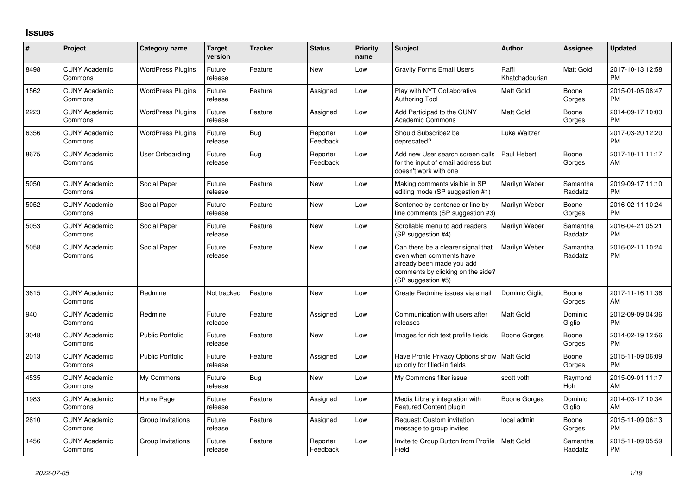## **Issues**

| #    | Project                         | <b>Category name</b>     | <b>Target</b><br>version | <b>Tracker</b> | <b>Status</b>        | <b>Priority</b><br>name | <b>Subject</b>                                                                                                                                        | <b>Author</b>           | Assignee            | <b>Updated</b>                |
|------|---------------------------------|--------------------------|--------------------------|----------------|----------------------|-------------------------|-------------------------------------------------------------------------------------------------------------------------------------------------------|-------------------------|---------------------|-------------------------------|
| 8498 | <b>CUNY Academic</b><br>Commons | <b>WordPress Plugins</b> | Future<br>release        | Feature        | <b>New</b>           | Low                     | <b>Gravity Forms Email Users</b>                                                                                                                      | Raffi<br>Khatchadourian | Matt Gold           | 2017-10-13 12:58<br><b>PM</b> |
| 1562 | <b>CUNY Academic</b><br>Commons | <b>WordPress Plugins</b> | Future<br>release        | Feature        | Assigned             | Low                     | Play with NYT Collaborative<br><b>Authoring Tool</b>                                                                                                  | <b>Matt Gold</b>        | Boone<br>Gorges     | 2015-01-05 08:47<br><b>PM</b> |
| 2223 | <b>CUNY Academic</b><br>Commons | <b>WordPress Plugins</b> | Future<br>release        | Feature        | Assigned             | Low                     | Add Participad to the CUNY<br><b>Academic Commons</b>                                                                                                 | <b>Matt Gold</b>        | Boone<br>Gorges     | 2014-09-17 10:03<br><b>PM</b> |
| 6356 | <b>CUNY Academic</b><br>Commons | <b>WordPress Plugins</b> | Future<br>release        | Bug            | Reporter<br>Feedback | Low                     | Should Subscribe2 be<br>deprecated?                                                                                                                   | Luke Waltzer            |                     | 2017-03-20 12:20<br><b>PM</b> |
| 8675 | <b>CUNY Academic</b><br>Commons | <b>User Onboarding</b>   | Future<br>release        | Bug            | Reporter<br>Feedback | Low                     | Add new User search screen calls<br>for the input of email address but<br>doesn't work with one                                                       | Paul Hebert             | Boone<br>Gorges     | 2017-10-11 11:17<br>AM        |
| 5050 | <b>CUNY Academic</b><br>Commons | Social Paper             | Future<br>release        | Feature        | New                  | Low                     | Making comments visible in SP<br>editing mode (SP suggestion #1)                                                                                      | Marilyn Weber           | Samantha<br>Raddatz | 2019-09-17 11:10<br><b>PM</b> |
| 5052 | <b>CUNY Academic</b><br>Commons | Social Paper             | Future<br>release        | Feature        | New                  | Low                     | Sentence by sentence or line by<br>line comments (SP suggestion #3)                                                                                   | Marilyn Weber           | Boone<br>Gorges     | 2016-02-11 10:24<br>PM        |
| 5053 | <b>CUNY Academic</b><br>Commons | Social Paper             | Future<br>release        | Feature        | New                  | Low                     | Scrollable menu to add readers<br>(SP suggestion #4)                                                                                                  | Marilyn Weber           | Samantha<br>Raddatz | 2016-04-21 05:21<br><b>PM</b> |
| 5058 | <b>CUNY Academic</b><br>Commons | Social Paper             | Future<br>release        | Feature        | <b>New</b>           | Low                     | Can there be a clearer signal that<br>even when comments have<br>already been made you add<br>comments by clicking on the side?<br>(SP suggestion #5) | Marilyn Weber           | Samantha<br>Raddatz | 2016-02-11 10:24<br><b>PM</b> |
| 3615 | <b>CUNY Academic</b><br>Commons | Redmine                  | Not tracked              | Feature        | <b>New</b>           | Low                     | Create Redmine issues via email                                                                                                                       | Dominic Giglio          | Boone<br>Gorges     | 2017-11-16 11:36<br>AM        |
| 940  | <b>CUNY Academic</b><br>Commons | Redmine                  | Future<br>release        | Feature        | Assigned             | Low                     | Communication with users after<br>releases                                                                                                            | Matt Gold               | Dominic<br>Giglio   | 2012-09-09 04:36<br><b>PM</b> |
| 3048 | <b>CUNY Academic</b><br>Commons | <b>Public Portfolio</b>  | Future<br>release        | Feature        | <b>New</b>           | Low                     | Images for rich text profile fields                                                                                                                   | Boone Gorges            | Boone<br>Gorges     | 2014-02-19 12:56<br><b>PM</b> |
| 2013 | <b>CUNY Academic</b><br>Commons | <b>Public Portfolio</b>  | Future<br>release        | Feature        | Assigned             | Low                     | Have Profile Privacy Options show<br>up only for filled-in fields                                                                                     | Matt Gold               | Boone<br>Gorges     | 2015-11-09 06:09<br><b>PM</b> |
| 4535 | <b>CUNY Academic</b><br>Commons | My Commons               | Future<br>release        | Bug            | New                  | Low                     | My Commons filter issue                                                                                                                               | scott voth              | Raymond<br>Hoh      | 2015-09-01 11:17<br>AM        |
| 1983 | <b>CUNY Academic</b><br>Commons | Home Page                | Future<br>release        | Feature        | Assigned             | Low                     | Media Library integration with<br><b>Featured Content plugin</b>                                                                                      | Boone Gorges            | Dominic<br>Giglio   | 2014-03-17 10:34<br>AM        |
| 2610 | <b>CUNY Academic</b><br>Commons | Group Invitations        | Future<br>release        | Feature        | Assigned             | Low                     | Request: Custom invitation<br>message to group invites                                                                                                | local admin             | Boone<br>Gorges     | 2015-11-09 06:13<br><b>PM</b> |
| 1456 | <b>CUNY Academic</b><br>Commons | Group Invitations        | Future<br>release        | Feature        | Reporter<br>Feedback | Low                     | Invite to Group Button from Profile<br>Field                                                                                                          | <b>Matt Gold</b>        | Samantha<br>Raddatz | 2015-11-09 05:59<br><b>PM</b> |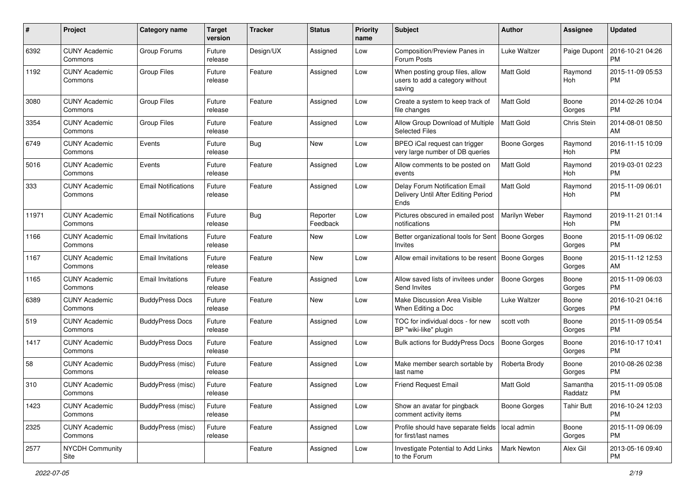| #     | Project                         | <b>Category name</b>       | <b>Target</b><br>version | <b>Tracker</b> | <b>Status</b>        | Priority<br>name | <b>Subject</b>                                                                | Author              | <b>Assignee</b>     | <b>Updated</b>                |
|-------|---------------------------------|----------------------------|--------------------------|----------------|----------------------|------------------|-------------------------------------------------------------------------------|---------------------|---------------------|-------------------------------|
| 6392  | <b>CUNY Academic</b><br>Commons | Group Forums               | Future<br>release        | Design/UX      | Assigned             | Low              | Composition/Preview Panes in<br>Forum Posts                                   | Luke Waltzer        | Paige Dupont        | 2016-10-21 04:26<br><b>PM</b> |
| 1192  | <b>CUNY Academic</b><br>Commons | <b>Group Files</b>         | Future<br>release        | Feature        | Assigned             | Low              | When posting group files, allow<br>users to add a category without<br>saving  | Matt Gold           | Raymond<br>Hoh      | 2015-11-09 05:53<br><b>PM</b> |
| 3080  | <b>CUNY Academic</b><br>Commons | <b>Group Files</b>         | Future<br>release        | Feature        | Assigned             | Low              | Create a system to keep track of<br>file changes                              | <b>Matt Gold</b>    | Boone<br>Gorges     | 2014-02-26 10:04<br><b>PM</b> |
| 3354  | <b>CUNY Academic</b><br>Commons | <b>Group Files</b>         | Future<br>release        | Feature        | Assigned             | Low              | Allow Group Download of Multiple<br><b>Selected Files</b>                     | Matt Gold           | Chris Stein         | 2014-08-01 08:50<br>AM        |
| 6749  | <b>CUNY Academic</b><br>Commons | Events                     | Future<br>release        | Bug            | <b>New</b>           | Low              | BPEO iCal request can trigger<br>very large number of DB queries              | Boone Gorges        | Ravmond<br>Hoh      | 2016-11-15 10:09<br><b>PM</b> |
| 5016  | <b>CUNY Academic</b><br>Commons | Events                     | Future<br>release        | Feature        | Assigned             | Low              | Allow comments to be posted on<br>events                                      | <b>Matt Gold</b>    | Raymond<br>Hoh      | 2019-03-01 02:23<br><b>PM</b> |
| 333   | <b>CUNY Academic</b><br>Commons | <b>Email Notifications</b> | Future<br>release        | Feature        | Assigned             | Low              | Delay Forum Notification Email<br>Delivery Until After Editing Period<br>Ends | <b>Matt Gold</b>    | Raymond<br>Hoh      | 2015-11-09 06:01<br><b>PM</b> |
| 11971 | <b>CUNY Academic</b><br>Commons | <b>Email Notifications</b> | Future<br>release        | <b>Bug</b>     | Reporter<br>Feedback | Low              | Pictures obscured in emailed post<br>notifications                            | Marilyn Weber       | Raymond<br>Hoh      | 2019-11-21 01:14<br><b>PM</b> |
| 1166  | <b>CUNY Academic</b><br>Commons | <b>Email Invitations</b>   | Future<br>release        | Feature        | New                  | Low              | Better organizational tools for Sent   Boone Gorges<br>Invites                |                     | Boone<br>Gorges     | 2015-11-09 06:02<br><b>PM</b> |
| 1167  | <b>CUNY Academic</b><br>Commons | Email Invitations          | Future<br>release        | Feature        | <b>New</b>           | Low              | Allow email invitations to be resent   Boone Gorges                           |                     | Boone<br>Gorges     | 2015-11-12 12:53<br>AM        |
| 1165  | <b>CUNY Academic</b><br>Commons | <b>Email Invitations</b>   | Future<br>release        | Feature        | Assigned             | Low              | Allow saved lists of invitees under<br>Send Invites                           | <b>Boone Gorges</b> | Boone<br>Gorges     | 2015-11-09 06:03<br><b>PM</b> |
| 6389  | <b>CUNY Academic</b><br>Commons | <b>BuddyPress Docs</b>     | Future<br>release        | Feature        | <b>New</b>           | Low              | Make Discussion Area Visible<br>When Editing a Doc                            | Luke Waltzer        | Boone<br>Gorges     | 2016-10-21 04:16<br><b>PM</b> |
| 519   | <b>CUNY Academic</b><br>Commons | <b>BuddyPress Docs</b>     | Future<br>release        | Feature        | Assigned             | Low              | TOC for individual docs - for new<br>BP "wiki-like" plugin                    | scott voth          | Boone<br>Gorges     | 2015-11-09 05:54<br><b>PM</b> |
| 1417  | <b>CUNY Academic</b><br>Commons | <b>BuddyPress Docs</b>     | Future<br>release        | Feature        | Assigned             | Low              | <b>Bulk actions for BuddyPress Docs</b>                                       | <b>Boone Gorges</b> | Boone<br>Gorges     | 2016-10-17 10:41<br><b>PM</b> |
| 58    | <b>CUNY Academic</b><br>Commons | BuddyPress (misc)          | Future<br>release        | Feature        | Assigned             | Low              | Make member search sortable by<br>last name                                   | Roberta Brody       | Boone<br>Gorges     | 2010-08-26 02:38<br><b>PM</b> |
| 310   | <b>CUNY Academic</b><br>Commons | BuddyPress (misc)          | Future<br>release        | Feature        | Assigned             | Low              | <b>Friend Request Email</b>                                                   | Matt Gold           | Samantha<br>Raddatz | 2015-11-09 05:08<br>PM        |
| 1423  | <b>CUNY Academic</b><br>Commons | BuddyPress (misc)          | Future<br>release        | Feature        | Assigned             | Low              | Show an avatar for pingback<br>comment activity items                         | <b>Boone Gorges</b> | <b>Tahir Butt</b>   | 2016-10-24 12:03<br><b>PM</b> |
| 2325  | <b>CUNY Academic</b><br>Commons | BuddyPress (misc)          | Future<br>release        | Feature        | Assigned             | Low              | Profile should have separate fields   local admin<br>for first/last names     |                     | Boone<br>Gorges     | 2015-11-09 06:09<br><b>PM</b> |
| 2577  | <b>NYCDH Community</b><br>Site  |                            |                          | Feature        | Assigned             | Low              | Investigate Potential to Add Links<br>to the Forum                            | Mark Newton         | Alex Gil            | 2013-05-16 09:40<br><b>PM</b> |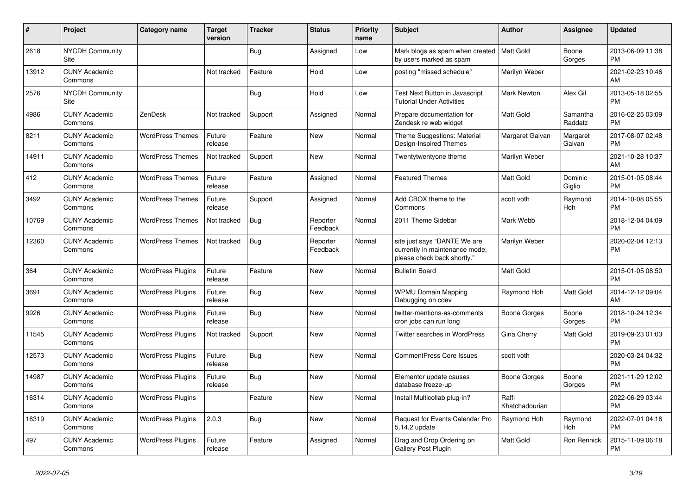| #     | Project                         | <b>Category name</b>     | <b>Target</b><br>version | <b>Tracker</b> | <b>Status</b>        | <b>Priority</b><br>name | <b>Subject</b>                                                                                | <b>Author</b>           | <b>Assignee</b>     | <b>Updated</b>                |
|-------|---------------------------------|--------------------------|--------------------------|----------------|----------------------|-------------------------|-----------------------------------------------------------------------------------------------|-------------------------|---------------------|-------------------------------|
| 2618  | <b>NYCDH Community</b><br>Site  |                          |                          | Bug            | Assigned             | Low                     | Mark blogs as spam when created   Matt Gold<br>by users marked as spam                        |                         | Boone<br>Gorges     | 2013-06-09 11:38<br><b>PM</b> |
| 13912 | <b>CUNY Academic</b><br>Commons |                          | Not tracked              | Feature        | Hold                 | Low                     | posting "missed schedule"                                                                     | Marilyn Weber           |                     | 2021-02-23 10:46<br>AM        |
| 2576  | <b>NYCDH Community</b><br>Site  |                          |                          | <b>Bug</b>     | Hold                 | Low                     | Test Next Button in Javascript<br><b>Tutorial Under Activities</b>                            | <b>Mark Newton</b>      | Alex Gil            | 2013-05-18 02:55<br><b>PM</b> |
| 4986  | <b>CUNY Academic</b><br>Commons | ZenDesk                  | Not tracked              | Support        | Assigned             | Normal                  | Prepare documentation for<br>Zendesk re web widget                                            | <b>Matt Gold</b>        | Samantha<br>Raddatz | 2016-02-25 03:09<br><b>PM</b> |
| 8211  | <b>CUNY Academic</b><br>Commons | <b>WordPress Themes</b>  | Future<br>release        | Feature        | New                  | Normal                  | Theme Suggestions: Material<br>Design-Inspired Themes                                         | Margaret Galvan         | Margaret<br>Galvan  | 2017-08-07 02:48<br><b>PM</b> |
| 14911 | <b>CUNY Academic</b><br>Commons | <b>WordPress Themes</b>  | Not tracked              | Support        | <b>New</b>           | Normal                  | Twentytwentyone theme                                                                         | Marilyn Weber           |                     | 2021-10-28 10:37<br>AM        |
| 412   | <b>CUNY Academic</b><br>Commons | <b>WordPress Themes</b>  | Future<br>release        | Feature        | Assigned             | Normal                  | <b>Featured Themes</b>                                                                        | <b>Matt Gold</b>        | Dominic<br>Giglio   | 2015-01-05 08:44<br><b>PM</b> |
| 3492  | <b>CUNY Academic</b><br>Commons | <b>WordPress Themes</b>  | Future<br>release        | Support        | Assigned             | Normal                  | Add CBOX theme to the<br>Commons                                                              | scott voth              | Raymond<br>Hoh      | 2014-10-08 05:55<br><b>PM</b> |
| 10769 | <b>CUNY Academic</b><br>Commons | <b>WordPress Themes</b>  | Not tracked              | Bug            | Reporter<br>Feedback | Normal                  | 2011 Theme Sidebar                                                                            | Mark Webb               |                     | 2018-12-04 04:09<br><b>PM</b> |
| 12360 | <b>CUNY Academic</b><br>Commons | <b>WordPress Themes</b>  | Not tracked              | <b>Bug</b>     | Reporter<br>Feedback | Normal                  | site just says "DANTE We are<br>currently in maintenance mode,<br>please check back shortly." | Marilyn Weber           |                     | 2020-02-04 12:13<br><b>PM</b> |
| 364   | <b>CUNY Academic</b><br>Commons | <b>WordPress Plugins</b> | Future<br>release        | Feature        | New                  | Normal                  | <b>Bulletin Board</b>                                                                         | <b>Matt Gold</b>        |                     | 2015-01-05 08:50<br><b>PM</b> |
| 3691  | <b>CUNY Academic</b><br>Commons | <b>WordPress Plugins</b> | Future<br>release        | Bug            | <b>New</b>           | Normal                  | <b>WPMU Domain Mapping</b><br>Debugging on cdev                                               | Raymond Hoh             | Matt Gold           | 2014-12-12 09:04<br>AM        |
| 9926  | <b>CUNY Academic</b><br>Commons | <b>WordPress Plugins</b> | Future<br>release        | <b>Bug</b>     | <b>New</b>           | Normal                  | twitter-mentions-as-comments<br>cron jobs can run long                                        | Boone Gorges            | Boone<br>Gorges     | 2018-10-24 12:34<br><b>PM</b> |
| 11545 | <b>CUNY Academic</b><br>Commons | <b>WordPress Plugins</b> | Not tracked              | Support        | New                  | Normal                  | Twitter searches in WordPress                                                                 | Gina Cherry             | Matt Gold           | 2019-09-23 01:03<br><b>PM</b> |
| 12573 | <b>CUNY Academic</b><br>Commons | <b>WordPress Plugins</b> | Future<br>release        | <b>Bug</b>     | New                  | Normal                  | <b>CommentPress Core Issues</b>                                                               | scott voth              |                     | 2020-03-24 04:32<br><b>PM</b> |
| 14987 | <b>CUNY Academic</b><br>Commons | <b>WordPress Plugins</b> | Future<br>release        | Bug            | <b>New</b>           | Normal                  | Elementor update causes<br>database freeze-up                                                 | Boone Gorges            | Boone<br>Gorges     | 2021-11-29 12:02<br><b>PM</b> |
| 16314 | <b>CUNY Academic</b><br>Commons | <b>WordPress Plugins</b> |                          | Feature        | New                  | Normal                  | Install Multicollab plug-in?                                                                  | Raffi<br>Khatchadourian |                     | 2022-06-29 03:44<br><b>PM</b> |
| 16319 | <b>CUNY Academic</b><br>Commons | <b>WordPress Plugins</b> | 2.0.3                    | <b>Bug</b>     | <b>New</b>           | Normal                  | Request for Events Calendar Pro<br>5.14.2 update                                              | Raymond Hoh             | Raymond<br>Hoh      | 2022-07-01 04:16<br><b>PM</b> |
| 497   | <b>CUNY Academic</b><br>Commons | <b>WordPress Plugins</b> | Future<br>release        | Feature        | Assigned             | Normal                  | Drag and Drop Ordering on<br>Gallery Post Plugin                                              | <b>Matt Gold</b>        | Ron Rennick         | 2015-11-09 06:18<br><b>PM</b> |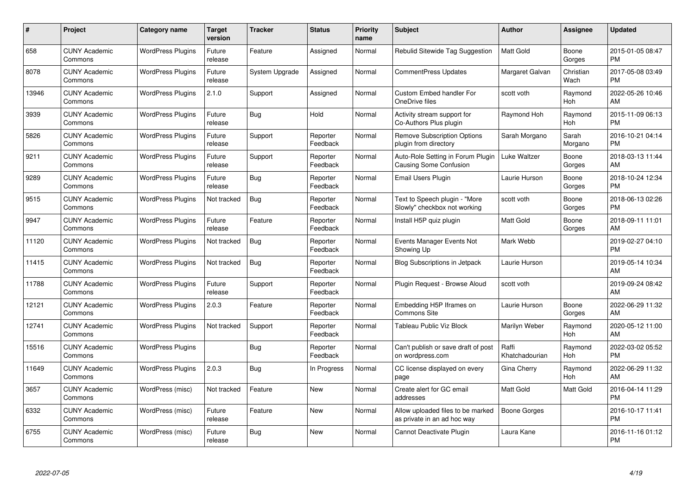| #     | Project                         | <b>Category name</b>     | <b>Target</b><br>version | <b>Tracker</b> | <b>Status</b>        | Priority<br>name | <b>Subject</b>                                                   | <b>Author</b>           | <b>Assignee</b>   | <b>Updated</b>                |
|-------|---------------------------------|--------------------------|--------------------------|----------------|----------------------|------------------|------------------------------------------------------------------|-------------------------|-------------------|-------------------------------|
| 658   | <b>CUNY Academic</b><br>Commons | <b>WordPress Plugins</b> | Future<br>release        | Feature        | Assigned             | Normal           | Rebulid Sitewide Tag Suggestion                                  | <b>Matt Gold</b>        | Boone<br>Gorges   | 2015-01-05 08:47<br><b>PM</b> |
| 8078  | <b>CUNY Academic</b><br>Commons | <b>WordPress Plugins</b> | Future<br>release        | System Upgrade | Assigned             | Normal           | CommentPress Updates                                             | Margaret Galvan         | Christian<br>Wach | 2017-05-08 03:49<br><b>PM</b> |
| 13946 | <b>CUNY Academic</b><br>Commons | <b>WordPress Plugins</b> | 2.1.0                    | Support        | Assigned             | Normal           | <b>Custom Embed handler For</b><br>OneDrive files                | scott voth              | Raymond<br>Hoh    | 2022-05-26 10:46<br>AM        |
| 3939  | <b>CUNY Academic</b><br>Commons | <b>WordPress Plugins</b> | Future<br>release        | Bug            | Hold                 | Normal           | Activity stream support for<br>Co-Authors Plus plugin            | Raymond Hoh             | Raymond<br>Hoh    | 2015-11-09 06:13<br><b>PM</b> |
| 5826  | <b>CUNY Academic</b><br>Commons | <b>WordPress Plugins</b> | Future<br>release        | Support        | Reporter<br>Feedback | Normal           | <b>Remove Subscription Options</b><br>plugin from directory      | Sarah Morgano           | Sarah<br>Morgano  | 2016-10-21 04:14<br><b>PM</b> |
| 9211  | <b>CUNY Academic</b><br>Commons | <b>WordPress Plugins</b> | Future<br>release        | Support        | Reporter<br>Feedback | Normal           | Auto-Role Setting in Forum Plugin<br>Causing Some Confusion      | Luke Waltzer            | Boone<br>Gorges   | 2018-03-13 11:44<br>AM        |
| 9289  | <b>CUNY Academic</b><br>Commons | <b>WordPress Plugins</b> | Future<br>release        | Bug            | Reporter<br>Feedback | Normal           | Email Users Plugin                                               | Laurie Hurson           | Boone<br>Gorges   | 2018-10-24 12:34<br><b>PM</b> |
| 9515  | <b>CUNY Academic</b><br>Commons | <b>WordPress Plugins</b> | Not tracked              | Bug            | Reporter<br>Feedback | Normal           | Text to Speech plugin - "More<br>Slowly" checkbox not working    | scott voth              | Boone<br>Gorges   | 2018-06-13 02:26<br><b>PM</b> |
| 9947  | <b>CUNY Academic</b><br>Commons | <b>WordPress Plugins</b> | Future<br>release        | Feature        | Reporter<br>Feedback | Normal           | Install H5P quiz plugin                                          | Matt Gold               | Boone<br>Gorges   | 2018-09-11 11:01<br>AM        |
| 11120 | <b>CUNY Academic</b><br>Commons | <b>WordPress Plugins</b> | Not tracked              | Bug            | Reporter<br>Feedback | Normal           | Events Manager Events Not<br>Showing Up                          | Mark Webb               |                   | 2019-02-27 04:10<br><b>PM</b> |
| 11415 | <b>CUNY Academic</b><br>Commons | <b>WordPress Plugins</b> | Not tracked              | Bug            | Reporter<br>Feedback | Normal           | Blog Subscriptions in Jetpack                                    | Laurie Hurson           |                   | 2019-05-14 10:34<br>AM        |
| 11788 | <b>CUNY Academic</b><br>Commons | <b>WordPress Plugins</b> | Future<br>release        | Support        | Reporter<br>Feedback | Normal           | Plugin Request - Browse Aloud                                    | scott voth              |                   | 2019-09-24 08:42<br>AM        |
| 12121 | <b>CUNY Academic</b><br>Commons | <b>WordPress Plugins</b> | 2.0.3                    | Feature        | Reporter<br>Feedback | Normal           | Embedding H5P Iframes on<br>Commons Site                         | Laurie Hurson           | Boone<br>Gorges   | 2022-06-29 11:32<br>AM        |
| 12741 | <b>CUNY Academic</b><br>Commons | <b>WordPress Plugins</b> | Not tracked              | Support        | Reporter<br>Feedback | Normal           | Tableau Public Viz Block                                         | Marilyn Weber           | Raymond<br>Hoh    | 2020-05-12 11:00<br>AM        |
| 15516 | <b>CUNY Academic</b><br>Commons | <b>WordPress Plugins</b> |                          | <b>Bug</b>     | Reporter<br>Feedback | Normal           | Can't publish or save draft of post<br>on wordpress.com          | Raffi<br>Khatchadourian | Raymond<br>Hoh    | 2022-03-02 05:52<br><b>PM</b> |
| 11649 | <b>CUNY Academic</b><br>Commons | <b>WordPress Plugins</b> | 2.0.3                    | Bug            | In Progress          | Normal           | CC license displayed on every<br>page                            | Gina Cherry             | Raymond<br>Hoh    | 2022-06-29 11:32<br>AM        |
| 3657  | <b>CUNY Academic</b><br>Commons | WordPress (misc)         | Not tracked              | Feature        | <b>New</b>           | Normal           | Create alert for GC email<br>addresses                           | <b>Matt Gold</b>        | Matt Gold         | 2016-04-14 11:29<br><b>PM</b> |
| 6332  | <b>CUNY Academic</b><br>Commons | WordPress (misc)         | Future<br>release        | Feature        | <b>New</b>           | Normal           | Allow uploaded files to be marked<br>as private in an ad hoc way | Boone Gorges            |                   | 2016-10-17 11:41<br><b>PM</b> |
| 6755  | CUNY Academic<br>Commons        | WordPress (misc)         | Future<br>release        | Bug            | <b>New</b>           | Normal           | Cannot Deactivate Plugin                                         | Laura Kane              |                   | 2016-11-16 01:12<br><b>PM</b> |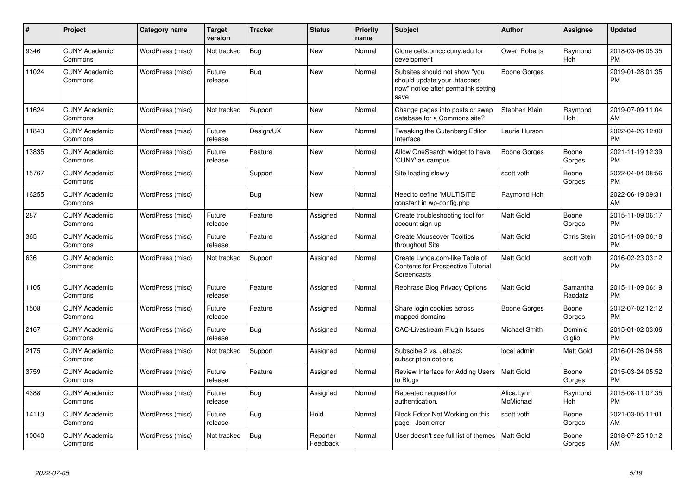| #     | Project                         | <b>Category name</b> | <b>Target</b><br>version | <b>Tracker</b> | <b>Status</b>        | <b>Priority</b><br>name | <b>Subject</b>                                                                                               | <b>Author</b>           | Assignee            | <b>Updated</b>                |
|-------|---------------------------------|----------------------|--------------------------|----------------|----------------------|-------------------------|--------------------------------------------------------------------------------------------------------------|-------------------------|---------------------|-------------------------------|
| 9346  | <b>CUNY Academic</b><br>Commons | WordPress (misc)     | Not tracked              | Bug            | <b>New</b>           | Normal                  | Clone cetls.bmcc.cuny.edu for<br>development                                                                 | Owen Roberts            | Raymond<br>Hoh      | 2018-03-06 05:35<br><b>PM</b> |
| 11024 | <b>CUNY Academic</b><br>Commons | WordPress (misc)     | Future<br>release        | Bug            | <b>New</b>           | Normal                  | Subsites should not show "you<br>should update your .htaccess<br>now" notice after permalink setting<br>save | Boone Gorges            |                     | 2019-01-28 01:35<br><b>PM</b> |
| 11624 | <b>CUNY Academic</b><br>Commons | WordPress (misc)     | Not tracked              | Support        | New                  | Normal                  | Change pages into posts or swap<br>database for a Commons site?                                              | Stephen Klein           | Raymond<br>Hoh      | 2019-07-09 11:04<br>AM        |
| 11843 | <b>CUNY Academic</b><br>Commons | WordPress (misc)     | Future<br>release        | Design/UX      | <b>New</b>           | Normal                  | Tweaking the Gutenberg Editor<br>Interface                                                                   | Laurie Hurson           |                     | 2022-04-26 12:00<br><b>PM</b> |
| 13835 | <b>CUNY Academic</b><br>Commons | WordPress (misc)     | Future<br>release        | Feature        | <b>New</b>           | Normal                  | Allow OneSearch widget to have<br>'CUNY' as campus                                                           | Boone Gorges            | Boone<br>Gorges     | 2021-11-19 12:39<br><b>PM</b> |
| 15767 | <b>CUNY Academic</b><br>Commons | WordPress (misc)     |                          | Support        | New                  | Normal                  | Site loading slowly                                                                                          | scott voth              | Boone<br>Gorges     | 2022-04-04 08:56<br><b>PM</b> |
| 16255 | <b>CUNY Academic</b><br>Commons | WordPress (misc)     |                          | Bug            | New                  | Normal                  | Need to define 'MULTISITE'<br>constant in wp-config.php                                                      | Raymond Hoh             |                     | 2022-06-19 09:31<br>AM        |
| 287   | <b>CUNY Academic</b><br>Commons | WordPress (misc)     | Future<br>release        | Feature        | Assigned             | Normal                  | Create troubleshooting tool for<br>account sign-up                                                           | <b>Matt Gold</b>        | Boone<br>Gorges     | 2015-11-09 06:17<br><b>PM</b> |
| 365   | <b>CUNY Academic</b><br>Commons | WordPress (misc)     | Future<br>release        | Feature        | Assigned             | Normal                  | <b>Create Mouseover Tooltips</b><br>throughout Site                                                          | <b>Matt Gold</b>        | Chris Stein         | 2015-11-09 06:18<br><b>PM</b> |
| 636   | <b>CUNY Academic</b><br>Commons | WordPress (misc)     | Not tracked              | Support        | Assigned             | Normal                  | Create Lynda.com-like Table of<br><b>Contents for Prospective Tutorial</b><br>Screencasts                    | <b>Matt Gold</b>        | scott voth          | 2016-02-23 03:12<br><b>PM</b> |
| 1105  | <b>CUNY Academic</b><br>Commons | WordPress (misc)     | Future<br>release        | Feature        | Assigned             | Normal                  | Rephrase Blog Privacy Options                                                                                | <b>Matt Gold</b>        | Samantha<br>Raddatz | 2015-11-09 06:19<br><b>PM</b> |
| 1508  | <b>CUNY Academic</b><br>Commons | WordPress (misc)     | Future<br>release        | Feature        | Assigned             | Normal                  | Share login cookies across<br>mapped domains                                                                 | Boone Gorges            | Boone<br>Gorges     | 2012-07-02 12:12<br><b>PM</b> |
| 2167  | <b>CUNY Academic</b><br>Commons | WordPress (misc)     | Future<br>release        | Bug            | Assigned             | Normal                  | <b>CAC-Livestream Plugin Issues</b>                                                                          | Michael Smith           | Dominic<br>Giglio   | 2015-01-02 03:06<br><b>PM</b> |
| 2175  | <b>CUNY Academic</b><br>Commons | WordPress (misc)     | Not tracked              | Support        | Assigned             | Normal                  | Subscibe 2 vs. Jetpack<br>subscription options                                                               | local admin             | Matt Gold           | 2016-01-26 04:58<br><b>PM</b> |
| 3759  | <b>CUNY Academic</b><br>Commons | WordPress (misc)     | Future<br>release        | Feature        | Assigned             | Normal                  | Review Interface for Adding Users<br>to Blogs                                                                | Matt Gold               | Boone<br>Gorges     | 2015-03-24 05:52<br><b>PM</b> |
| 4388  | <b>CUNY Academic</b><br>Commons | WordPress (misc)     | Future<br>release        | <b>Bug</b>     | Assigned             | Normal                  | Repeated request for<br>authentication.                                                                      | Alice.Lynn<br>McMichael | Raymond<br>Hoh      | 2015-08-11 07:35<br><b>PM</b> |
| 14113 | <b>CUNY Academic</b><br>Commons | WordPress (misc)     | Future<br>release        | Bug            | Hold                 | Normal                  | Block Editor Not Working on this<br>page - Json error                                                        | scott voth              | Boone<br>Gorges     | 2021-03-05 11:01<br>AM        |
| 10040 | <b>CUNY Academic</b><br>Commons | WordPress (misc)     | Not tracked              | Bug            | Reporter<br>Feedback | Normal                  | User doesn't see full list of themes                                                                         | <b>Matt Gold</b>        | Boone<br>Gorges     | 2018-07-25 10:12<br>AM        |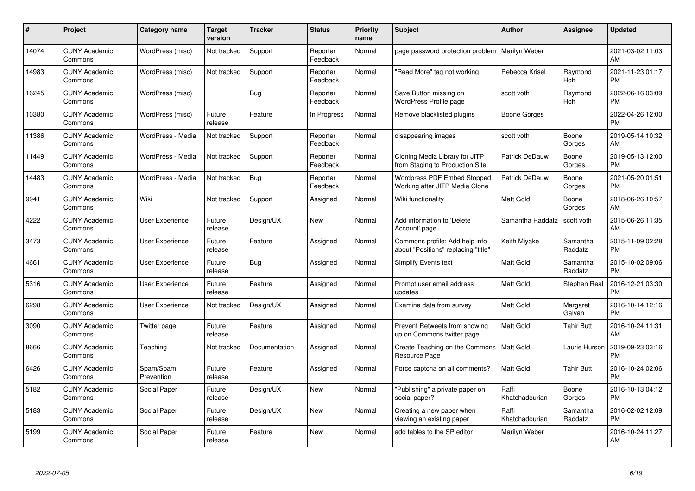| #     | Project                         | <b>Category name</b>    | <b>Target</b><br>version | <b>Tracker</b> | <b>Status</b>        | Priority<br>name | <b>Subject</b>                                                        | <b>Author</b>           | <b>Assignee</b>     | <b>Updated</b>                |
|-------|---------------------------------|-------------------------|--------------------------|----------------|----------------------|------------------|-----------------------------------------------------------------------|-------------------------|---------------------|-------------------------------|
| 14074 | <b>CUNY Academic</b><br>Commons | WordPress (misc)        | Not tracked              | Support        | Reporter<br>Feedback | Normal           | page password protection problem                                      | Marilyn Weber           |                     | 2021-03-02 11:03<br>AM        |
| 14983 | <b>CUNY Academic</b><br>Commons | WordPress (misc)        | Not tracked              | Support        | Reporter<br>Feedback | Normal           | "Read More" tag not working                                           | Rebecca Krisel          | Raymond<br>Hoh      | 2021-11-23 01:17<br><b>PM</b> |
| 16245 | <b>CUNY Academic</b><br>Commons | WordPress (misc)        |                          | <b>Bug</b>     | Reporter<br>Feedback | Normal           | Save Button missing on<br><b>WordPress Profile page</b>               | scott voth              | Raymond<br>Hoh      | 2022-06-16 03:09<br><b>PM</b> |
| 10380 | <b>CUNY Academic</b><br>Commons | WordPress (misc)        | Future<br>release        | Feature        | In Progress          | Normal           | Remove blacklisted plugins                                            | Boone Gorges            |                     | 2022-04-26 12:00<br><b>PM</b> |
| 11386 | <b>CUNY Academic</b><br>Commons | WordPress - Media       | Not tracked              | Support        | Reporter<br>Feedback | Normal           | disappearing images                                                   | scott voth              | Boone<br>Gorges     | 2019-05-14 10:32<br>AM        |
| 11449 | <b>CUNY Academic</b><br>Commons | WordPress - Media       | Not tracked              | Support        | Reporter<br>Feedback | Normal           | Cloning Media Library for JITP<br>from Staging to Production Site     | <b>Patrick DeDauw</b>   | Boone<br>Gorges     | 2019-05-13 12:00<br><b>PM</b> |
| 14483 | <b>CUNY Academic</b><br>Commons | WordPress - Media       | Not tracked              | Bug            | Reporter<br>Feedback | Normal           | <b>Wordpress PDF Embed Stopped</b><br>Working after JITP Media Clone  | Patrick DeDauw          | Boone<br>Gorges     | 2021-05-20 01:51<br><b>PM</b> |
| 9941  | <b>CUNY Academic</b><br>Commons | Wiki                    | Not tracked              | Support        | Assigned             | Normal           | Wiki functionality                                                    | <b>Matt Gold</b>        | Boone<br>Gorges     | 2018-06-26 10:57<br>AM        |
| 4222  | <b>CUNY Academic</b><br>Commons | <b>User Experience</b>  | Future<br>release        | Design/UX      | <b>New</b>           | Normal           | Add information to 'Delete<br>Account' page                           | Samantha Raddatz        | scott voth          | 2015-06-26 11:35<br>AM        |
| 3473  | <b>CUNY Academic</b><br>Commons | <b>User Experience</b>  | Future<br>release        | Feature        | Assigned             | Normal           | Commons profile: Add help info<br>about "Positions" replacing "title" | Keith Miyake            | Samantha<br>Raddatz | 2015-11-09 02:28<br><b>PM</b> |
| 4661  | <b>CUNY Academic</b><br>Commons | User Experience         | Future<br>release        | Bug            | Assigned             | Normal           | Simplify Events text                                                  | Matt Gold               | Samantha<br>Raddatz | 2015-10-02 09:06<br><b>PM</b> |
| 5316  | <b>CUNY Academic</b><br>Commons | <b>User Experience</b>  | Future<br>release        | Feature        | Assigned             | Normal           | Prompt user email address<br>updates                                  | Matt Gold               | Stephen Real        | 2016-12-21 03:30<br><b>PM</b> |
| 6298  | <b>CUNY Academic</b><br>Commons | User Experience         | Not tracked              | Design/UX      | Assigned             | Normal           | Examine data from survey                                              | <b>Matt Gold</b>        | Margaret<br>Galvan  | 2016-10-14 12:16<br><b>PM</b> |
| 3090  | <b>CUNY Academic</b><br>Commons | Twitter page            | Future<br>release        | Feature        | Assigned             | Normal           | Prevent Retweets from showing<br>up on Commons twitter page           | Matt Gold               | Tahir Butt          | 2016-10-24 11:31<br>AM        |
| 8666  | <b>CUNY Academic</b><br>Commons | Teaching                | Not tracked              | Documentation  | Assigned             | Normal           | Create Teaching on the Commons<br>Resource Page                       | <b>Matt Gold</b>        | Laurie Hurson       | 2019-09-23 03:16<br><b>PM</b> |
| 6426  | <b>CUNY Academic</b><br>Commons | Spam/Spam<br>Prevention | Future<br>release        | Feature        | Assigned             | Normal           | Force captcha on all comments?                                        | <b>Matt Gold</b>        | <b>Tahir Butt</b>   | 2016-10-24 02:06<br><b>PM</b> |
| 5182  | <b>CUNY Academic</b><br>Commons | Social Paper            | Future<br>release        | Design/UX      | New                  | Normal           | "Publishing" a private paper on<br>social paper?                      | Raffi<br>Khatchadourian | Boone<br>Gorges     | 2016-10-13 04:12<br><b>PM</b> |
| 5183  | <b>CUNY Academic</b><br>Commons | Social Paper            | Future<br>release        | Design/UX      | <b>New</b>           | Normal           | Creating a new paper when<br>viewing an existing paper                | Raffi<br>Khatchadourian | Samantha<br>Raddatz | 2016-02-02 12:09<br><b>PM</b> |
| 5199  | CUNY Academic<br>Commons        | Social Paper            | Future<br>release        | Feature        | <b>New</b>           | Normal           | add tables to the SP editor                                           | Marilyn Weber           |                     | 2016-10-24 11:27<br>AM        |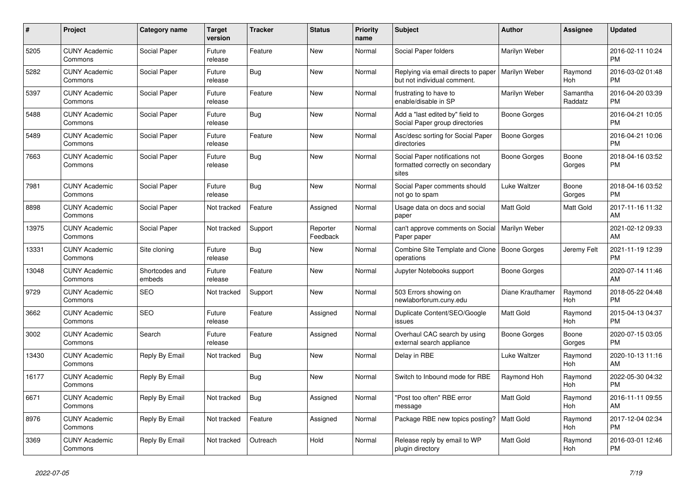| #     | <b>Project</b>                  | Category name            | <b>Target</b><br>version | <b>Tracker</b> | <b>Status</b>        | <b>Priority</b><br>name | <b>Subject</b>                                                              | <b>Author</b>    | Assignee            | <b>Updated</b>                |
|-------|---------------------------------|--------------------------|--------------------------|----------------|----------------------|-------------------------|-----------------------------------------------------------------------------|------------------|---------------------|-------------------------------|
| 5205  | <b>CUNY Academic</b><br>Commons | Social Paper             | Future<br>release        | Feature        | <b>New</b>           | Normal                  | Social Paper folders                                                        | Marilyn Weber    |                     | 2016-02-11 10:24<br><b>PM</b> |
| 5282  | <b>CUNY Academic</b><br>Commons | Social Paper             | Future<br>release        | Bug            | New                  | Normal                  | Replying via email directs to paper<br>but not individual comment.          | Marilyn Weber    | Raymond<br>Hoh      | 2016-03-02 01:48<br><b>PM</b> |
| 5397  | <b>CUNY Academic</b><br>Commons | Social Paper             | Future<br>release        | Feature        | <b>New</b>           | Normal                  | frustrating to have to<br>enable/disable in SP                              | Marilyn Weber    | Samantha<br>Raddatz | 2016-04-20 03:39<br><b>PM</b> |
| 5488  | <b>CUNY Academic</b><br>Commons | Social Paper             | Future<br>release        | Bug            | <b>New</b>           | Normal                  | Add a "last edited by" field to<br>Social Paper group directories           | Boone Gorges     |                     | 2016-04-21 10:05<br><b>PM</b> |
| 5489  | <b>CUNY Academic</b><br>Commons | Social Paper             | Future<br>release        | Feature        | New                  | Normal                  | Asc/desc sorting for Social Paper<br>directories                            | Boone Gorges     |                     | 2016-04-21 10:06<br><b>PM</b> |
| 7663  | <b>CUNY Academic</b><br>Commons | Social Paper             | Future<br>release        | Bug            | New                  | Normal                  | Social Paper notifications not<br>formatted correctly on secondary<br>sites | Boone Gorges     | Boone<br>Gorges     | 2018-04-16 03:52<br><b>PM</b> |
| 7981  | <b>CUNY Academic</b><br>Commons | Social Paper             | Future<br>release        | <b>Bug</b>     | New                  | Normal                  | Social Paper comments should<br>not go to spam                              | Luke Waltzer     | Boone<br>Gorges     | 2018-04-16 03:52<br><b>PM</b> |
| 8898  | <b>CUNY Academic</b><br>Commons | Social Paper             | Not tracked              | Feature        | Assigned             | Normal                  | Usage data on docs and social<br>paper                                      | <b>Matt Gold</b> | Matt Gold           | 2017-11-16 11:32<br>AM        |
| 13975 | <b>CUNY Academic</b><br>Commons | Social Paper             | Not tracked              | Support        | Reporter<br>Feedback | Normal                  | can't approve comments on Social<br>Paper paper                             | Marilyn Weber    |                     | 2021-02-12 09:33<br>AM        |
| 13331 | <b>CUNY Academic</b><br>Commons | Site cloning             | Future<br>release        | <b>Bug</b>     | New                  | Normal                  | Combine Site Template and Clone<br>operations                               | Boone Gorges     | Jeremy Felt         | 2021-11-19 12:39<br><b>PM</b> |
| 13048 | <b>CUNY Academic</b><br>Commons | Shortcodes and<br>embeds | Future<br>release        | Feature        | New                  | Normal                  | Jupyter Notebooks support                                                   | Boone Gorges     |                     | 2020-07-14 11:46<br>AM        |
| 9729  | <b>CUNY Academic</b><br>Commons | <b>SEO</b>               | Not tracked              | Support        | <b>New</b>           | Normal                  | 503 Errors showing on<br>newlaborforum.cuny.edu                             | Diane Krauthamer | Raymond<br>Hoh      | 2018-05-22 04:48<br><b>PM</b> |
| 3662  | <b>CUNY Academic</b><br>Commons | <b>SEO</b>               | Future<br>release        | Feature        | Assigned             | Normal                  | Duplicate Content/SEO/Google<br>issues                                      | <b>Matt Gold</b> | Raymond<br>Hoh      | 2015-04-13 04:37<br><b>PM</b> |
| 3002  | <b>CUNY Academic</b><br>Commons | Search                   | Future<br>release        | Feature        | Assigned             | Normal                  | Overhaul CAC search by using<br>external search appliance                   | Boone Gorges     | Boone<br>Gorges     | 2020-07-15 03:05<br><b>PM</b> |
| 13430 | <b>CUNY Academic</b><br>Commons | Reply By Email           | Not tracked              | <b>Bug</b>     | <b>New</b>           | Normal                  | Delay in RBE                                                                | Luke Waltzer     | Raymond<br>Hoh      | 2020-10-13 11:16<br>AM        |
| 16177 | <b>CUNY Academic</b><br>Commons | Reply By Email           |                          | Bug            | <b>New</b>           | Normal                  | Switch to Inbound mode for RBE                                              | Raymond Hoh      | Raymond<br>Hoh      | 2022-05-30 04:32<br><b>PM</b> |
| 6671  | <b>CUNY Academic</b><br>Commons | Reply By Email           | Not tracked              | Bug            | Assigned             | Normal                  | "Post too often" RBE error<br>message                                       | <b>Matt Gold</b> | Raymond<br>Hoh      | 2016-11-11 09:55<br>AM        |
| 8976  | <b>CUNY Academic</b><br>Commons | Reply By Email           | Not tracked              | Feature        | Assigned             | Normal                  | Package RBE new topics posting?                                             | Matt Gold        | Raymond<br>Hoh      | 2017-12-04 02:34<br><b>PM</b> |
| 3369  | <b>CUNY Academic</b><br>Commons | Reply By Email           | Not tracked              | Outreach       | Hold                 | Normal                  | Release reply by email to WP<br>plugin directory                            | <b>Matt Gold</b> | Raymond<br>Hoh      | 2016-03-01 12:46<br><b>PM</b> |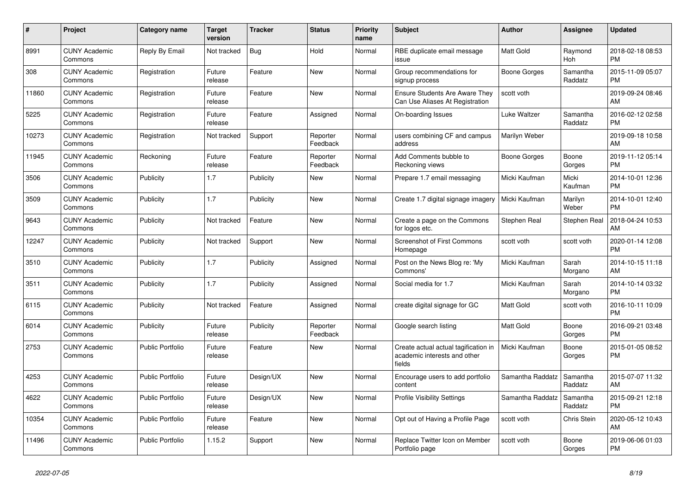| $\#$  | Project                         | <b>Category name</b>    | <b>Target</b><br>version | <b>Tracker</b> | <b>Status</b>        | <b>Priority</b><br>name | <b>Subject</b>                                                                 | <b>Author</b>    | Assignee            | <b>Updated</b>                |
|-------|---------------------------------|-------------------------|--------------------------|----------------|----------------------|-------------------------|--------------------------------------------------------------------------------|------------------|---------------------|-------------------------------|
| 8991  | <b>CUNY Academic</b><br>Commons | Reply By Email          | Not tracked              | Bug            | Hold                 | Normal                  | RBE duplicate email message<br>issue                                           | <b>Matt Gold</b> | Raymond<br>Hoh      | 2018-02-18 08:53<br><b>PM</b> |
| 308   | <b>CUNY Academic</b><br>Commons | Registration            | Future<br>release        | Feature        | New                  | Normal                  | Group recommendations for<br>signup process                                    | Boone Gorges     | Samantha<br>Raddatz | 2015-11-09 05:07<br><b>PM</b> |
| 11860 | <b>CUNY Academic</b><br>Commons | Registration            | Future<br>release        | Feature        | New                  | Normal                  | <b>Ensure Students Are Aware They</b><br>Can Use Aliases At Registration       | scott voth       |                     | 2019-09-24 08:46<br>AM        |
| 5225  | <b>CUNY Academic</b><br>Commons | Registration            | Future<br>release        | Feature        | Assigned             | Normal                  | On-boarding Issues                                                             | Luke Waltzer     | Samantha<br>Raddatz | 2016-02-12 02:58<br><b>PM</b> |
| 10273 | <b>CUNY Academic</b><br>Commons | Registration            | Not tracked              | Support        | Reporter<br>Feedback | Normal                  | users combining CF and campus<br>address                                       | Marilyn Weber    |                     | 2019-09-18 10:58<br>AM        |
| 11945 | <b>CUNY Academic</b><br>Commons | Reckoning               | Future<br>release        | Feature        | Reporter<br>Feedback | Normal                  | Add Comments bubble to<br>Reckoning views                                      | Boone Gorges     | Boone<br>Gorges     | 2019-11-12 05:14<br><b>PM</b> |
| 3506  | <b>CUNY Academic</b><br>Commons | Publicity               | 1.7                      | Publicity      | New                  | Normal                  | Prepare 1.7 email messaging                                                    | Micki Kaufman    | Micki<br>Kaufman    | 2014-10-01 12:36<br><b>PM</b> |
| 3509  | <b>CUNY Academic</b><br>Commons | Publicity               | 1.7                      | Publicity      | New                  | Normal                  | Create 1.7 digital signage imagery                                             | Micki Kaufman    | Marilyn<br>Weber    | 2014-10-01 12:40<br><b>PM</b> |
| 9643  | <b>CUNY Academic</b><br>Commons | Publicity               | Not tracked              | Feature        | New                  | Normal                  | Create a page on the Commons<br>for logos etc.                                 | Stephen Real     | Stephen Real        | 2018-04-24 10:53<br>AM        |
| 12247 | <b>CUNY Academic</b><br>Commons | Publicity               | Not tracked              | Support        | New                  | Normal                  | <b>Screenshot of First Commons</b><br>Homepage                                 | scott voth       | scott voth          | 2020-01-14 12:08<br><b>PM</b> |
| 3510  | <b>CUNY Academic</b><br>Commons | Publicity               | 1.7                      | Publicity      | Assigned             | Normal                  | Post on the News Blog re: 'My<br>Commons'                                      | Micki Kaufman    | Sarah<br>Morgano    | 2014-10-15 11:18<br>AM        |
| 3511  | <b>CUNY Academic</b><br>Commons | Publicity               | 1.7                      | Publicity      | Assigned             | Normal                  | Social media for 1.7                                                           | Micki Kaufman    | Sarah<br>Morgano    | 2014-10-14 03:32<br><b>PM</b> |
| 6115  | <b>CUNY Academic</b><br>Commons | Publicity               | Not tracked              | Feature        | Assigned             | Normal                  | create digital signage for GC                                                  | <b>Matt Gold</b> | scott voth          | 2016-10-11 10:09<br><b>PM</b> |
| 6014  | <b>CUNY Academic</b><br>Commons | Publicity               | Future<br>release        | Publicity      | Reporter<br>Feedback | Normal                  | Google search listing                                                          | <b>Matt Gold</b> | Boone<br>Gorges     | 2016-09-21 03:48<br><b>PM</b> |
| 2753  | <b>CUNY Academic</b><br>Commons | <b>Public Portfolio</b> | Future<br>release        | Feature        | New                  | Normal                  | Create actual actual tagification in<br>academic interests and other<br>fields | Micki Kaufman    | Boone<br>Gorges     | 2015-01-05 08:52<br><b>PM</b> |
| 4253  | <b>CUNY Academic</b><br>Commons | <b>Public Portfolio</b> | Future<br>release        | Design/UX      | <b>New</b>           | Normal                  | Encourage users to add portfolio<br>content                                    | Samantha Raddatz | Samantha<br>Raddatz | 2015-07-07 11:32<br>AM        |
| 4622  | <b>CUNY Academic</b><br>Commons | <b>Public Portfolio</b> | Future<br>release        | Design/UX      | New                  | Normal                  | <b>Profile Visibility Settings</b>                                             | Samantha Raddatz | Samantha<br>Raddatz | 2015-09-21 12:18<br><b>PM</b> |
| 10354 | <b>CUNY Academic</b><br>Commons | Public Portfolio        | Future<br>release        | Feature        | New                  | Normal                  | Opt out of Having a Profile Page                                               | scott voth       | Chris Stein         | 2020-05-12 10:43<br>AM        |
| 11496 | <b>CUNY Academic</b><br>Commons | <b>Public Portfolio</b> | 1.15.2                   | Support        | <b>New</b>           | Normal                  | Replace Twitter Icon on Member<br>Portfolio page                               | scott voth       | Boone<br>Gorges     | 2019-06-06 01:03<br><b>PM</b> |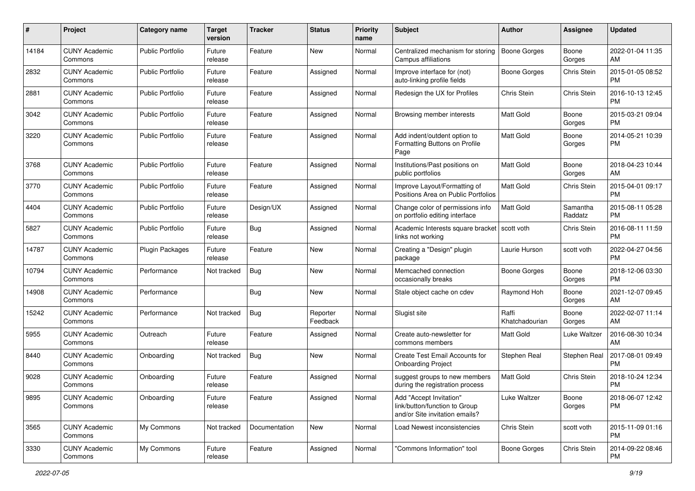| #     | Project                         | <b>Category name</b>    | <b>Target</b><br>version | <b>Tracker</b> | <b>Status</b>        | Priority<br>name | <b>Subject</b>                                                                             | Author                  | <b>Assignee</b>     | <b>Updated</b>                |
|-------|---------------------------------|-------------------------|--------------------------|----------------|----------------------|------------------|--------------------------------------------------------------------------------------------|-------------------------|---------------------|-------------------------------|
| 14184 | <b>CUNY Academic</b><br>Commons | <b>Public Portfolio</b> | Future<br>release        | Feature        | New                  | Normal           | Centralized mechanism for storing<br>Campus affiliations                                   | <b>Boone Gorges</b>     | Boone<br>Gorges     | 2022-01-04 11:35<br>AM        |
| 2832  | <b>CUNY Academic</b><br>Commons | <b>Public Portfolio</b> | Future<br>release        | Feature        | Assigned             | Normal           | Improve interface for (not)<br>auto-linking profile fields                                 | <b>Boone Gorges</b>     | Chris Stein         | 2015-01-05 08:52<br><b>PM</b> |
| 2881  | <b>CUNY Academic</b><br>Commons | <b>Public Portfolio</b> | Future<br>release        | Feature        | Assigned             | Normal           | Redesign the UX for Profiles                                                               | Chris Stein             | Chris Stein         | 2016-10-13 12:45<br><b>PM</b> |
| 3042  | <b>CUNY Academic</b><br>Commons | <b>Public Portfolio</b> | Future<br>release        | Feature        | Assigned             | Normal           | Browsing member interests                                                                  | Matt Gold               | Boone<br>Gorges     | 2015-03-21 09:04<br><b>PM</b> |
| 3220  | <b>CUNY Academic</b><br>Commons | <b>Public Portfolio</b> | Future<br>release        | Feature        | Assigned             | Normal           | Add indent/outdent option to<br>Formatting Buttons on Profile<br>Page                      | <b>Matt Gold</b>        | Boone<br>Gorges     | 2014-05-21 10:39<br><b>PM</b> |
| 3768  | <b>CUNY Academic</b><br>Commons | <b>Public Portfolio</b> | Future<br>release        | Feature        | Assigned             | Normal           | Institutions/Past positions on<br>public portfolios                                        | <b>Matt Gold</b>        | Boone<br>Gorges     | 2018-04-23 10:44<br>AM        |
| 3770  | <b>CUNY Academic</b><br>Commons | <b>Public Portfolio</b> | Future<br>release        | Feature        | Assigned             | Normal           | Improve Layout/Formatting of<br>Positions Area on Public Portfolios                        | <b>Matt Gold</b>        | Chris Stein         | 2015-04-01 09:17<br><b>PM</b> |
| 4404  | <b>CUNY Academic</b><br>Commons | <b>Public Portfolio</b> | Future<br>release        | Design/UX      | Assigned             | Normal           | Change color of permissions info<br>on portfolio editing interface                         | Matt Gold               | Samantha<br>Raddatz | 2015-08-11 05:28<br><b>PM</b> |
| 5827  | <b>CUNY Academic</b><br>Commons | <b>Public Portfolio</b> | Future<br>release        | Bug            | Assigned             | Normal           | Academic Interests square bracket<br>links not working                                     | scott voth              | Chris Stein         | 2016-08-11 11:59<br><b>PM</b> |
| 14787 | <b>CUNY Academic</b><br>Commons | <b>Plugin Packages</b>  | Future<br>release        | Feature        | New                  | Normal           | Creating a "Design" plugin<br>package                                                      | Laurie Hurson           | scott voth          | 2022-04-27 04:56<br><b>PM</b> |
| 10794 | <b>CUNY Academic</b><br>Commons | Performance             | Not tracked              | Bug            | New                  | Normal           | Memcached connection<br>occasionally breaks                                                | Boone Gorges            | Boone<br>Gorges     | 2018-12-06 03:30<br><b>PM</b> |
| 14908 | CUNY Academic<br>Commons        | Performance             |                          | Bug            | New                  | Normal           | Stale object cache on cdev                                                                 | Raymond Hoh             | Boone<br>Gorges     | 2021-12-07 09:45<br>AM        |
| 15242 | <b>CUNY Academic</b><br>Commons | Performance             | Not tracked              | Bug            | Reporter<br>Feedback | Normal           | Slugist site                                                                               | Raffi<br>Khatchadourian | Boone<br>Gorges     | 2022-02-07 11:14<br>AM        |
| 5955  | <b>CUNY Academic</b><br>Commons | Outreach                | Future<br>release        | Feature        | Assigned             | Normal           | Create auto-newsletter for<br>commons members                                              | Matt Gold               | Luke Waltzer        | 2016-08-30 10:34<br>AM        |
| 8440  | <b>CUNY Academic</b><br>Commons | Onboarding              | Not tracked              | Bug            | New                  | Normal           | Create Test Email Accounts for<br><b>Onboarding Project</b>                                | Stephen Real            | Stephen Real        | 2017-08-01 09:49<br><b>PM</b> |
| 9028  | <b>CUNY Academic</b><br>Commons | Onboarding              | Future<br>release        | Feature        | Assigned             | Normal           | suggest groups to new members<br>during the registration process                           | Matt Gold               | Chris Stein         | 2018-10-24 12:34<br><b>PM</b> |
| 9895  | <b>CUNY Academic</b><br>Commons | Onboarding              | Future<br>release        | Feature        | Assigned             | Normal           | Add "Accept Invitation"<br>link/button/function to Group<br>and/or Site invitation emails? | Luke Waltzer            | Boone<br>Gorges     | 2018-06-07 12:42<br>PM        |
| 3565  | <b>CUNY Academic</b><br>Commons | My Commons              | Not tracked              | Documentation  | New                  | Normal           | Load Newest inconsistencies                                                                | Chris Stein             | scott voth          | 2015-11-09 01:16<br>PM        |
| 3330  | <b>CUNY Academic</b><br>Commons | My Commons              | Future<br>release        | Feature        | Assigned             | Normal           | "Commons Information" tool                                                                 | Boone Gorges            | Chris Stein         | 2014-09-22 08:46<br><b>PM</b> |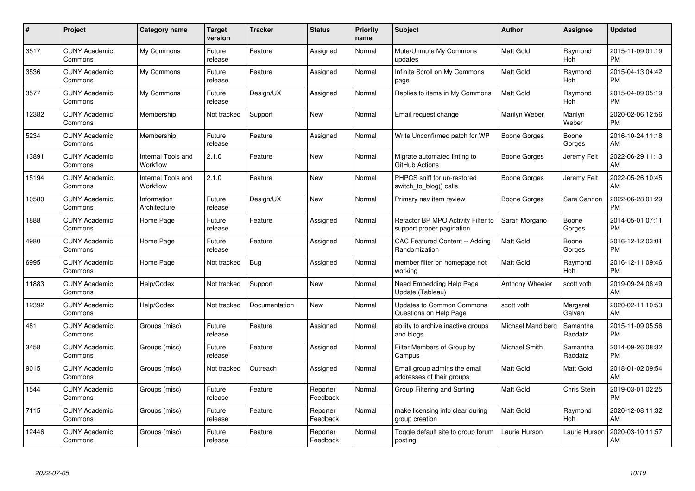| $\#$  | Project                         | <b>Category name</b>           | Target<br>version | <b>Tracker</b> | <b>Status</b>        | Priority<br>name | <b>Subject</b>                                                  | <b>Author</b>     | <b>Assignee</b>     | <b>Updated</b>                |
|-------|---------------------------------|--------------------------------|-------------------|----------------|----------------------|------------------|-----------------------------------------------------------------|-------------------|---------------------|-------------------------------|
| 3517  | <b>CUNY Academic</b><br>Commons | My Commons                     | Future<br>release | Feature        | Assigned             | Normal           | Mute/Unmute My Commons<br>updates                               | <b>Matt Gold</b>  | Raymond<br>Hoh      | 2015-11-09 01:19<br><b>PM</b> |
| 3536  | <b>CUNY Academic</b><br>Commons | My Commons                     | Future<br>release | Feature        | Assigned             | Normal           | Infinite Scroll on My Commons<br>page                           | <b>Matt Gold</b>  | Raymond<br>Hoh      | 2015-04-13 04:42<br><b>PM</b> |
| 3577  | <b>CUNY Academic</b><br>Commons | My Commons                     | Future<br>release | Design/UX      | Assigned             | Normal           | Replies to items in My Commons                                  | Matt Gold         | Raymond<br>Hoh      | 2015-04-09 05:19<br><b>PM</b> |
| 12382 | <b>CUNY Academic</b><br>Commons | Membership                     | Not tracked       | Support        | <b>New</b>           | Normal           | Email request change                                            | Marilyn Weber     | Marilyn<br>Weber    | 2020-02-06 12:56<br><b>PM</b> |
| 5234  | <b>CUNY Academic</b><br>Commons | Membership                     | Future<br>release | Feature        | Assigned             | Normal           | Write Unconfirmed patch for WP                                  | Boone Gorges      | Boone<br>Gorges     | 2016-10-24 11:18<br>AM        |
| 13891 | <b>CUNY Academic</b><br>Commons | Internal Tools and<br>Workflow | 2.1.0             | Feature        | <b>New</b>           | Normal           | Migrate automated linting to<br>GitHub Actions                  | Boone Gorges      | Jeremy Felt         | 2022-06-29 11:13<br>AM        |
| 15194 | <b>CUNY Academic</b><br>Commons | Internal Tools and<br>Workflow | 2.1.0             | Feature        | <b>New</b>           | Normal           | PHPCS sniff for un-restored<br>switch_to_blog() calls           | Boone Gorges      | Jeremy Felt         | 2022-05-26 10:45<br>AM        |
| 10580 | <b>CUNY Academic</b><br>Commons | Information<br>Architecture    | Future<br>release | Design/UX      | <b>New</b>           | Normal           | Primary nav item review                                         | Boone Gorges      | Sara Cannon         | 2022-06-28 01:29<br><b>PM</b> |
| 1888  | <b>CUNY Academic</b><br>Commons | Home Page                      | Future<br>release | Feature        | Assigned             | Normal           | Refactor BP MPO Activity Filter to<br>support proper pagination | Sarah Morgano     | Boone<br>Gorges     | 2014-05-01 07:11<br><b>PM</b> |
| 4980  | <b>CUNY Academic</b><br>Commons | Home Page                      | Future<br>release | Feature        | Assigned             | Normal           | <b>CAC Featured Content -- Adding</b><br>Randomization          | <b>Matt Gold</b>  | Boone<br>Gorges     | 2016-12-12 03:01<br><b>PM</b> |
| 6995  | <b>CUNY Academic</b><br>Commons | Home Page                      | Not tracked       | Bug            | Assigned             | Normal           | member filter on homepage not<br>working                        | Matt Gold         | Raymond<br>Hoh      | 2016-12-11 09:46<br><b>PM</b> |
| 11883 | <b>CUNY Academic</b><br>Commons | Help/Codex                     | Not tracked       | Support        | New                  | Normal           | Need Embedding Help Page<br>Update (Tableau)                    | Anthony Wheeler   | scott voth          | 2019-09-24 08:49<br>AM        |
| 12392 | <b>CUNY Academic</b><br>Commons | Help/Codex                     | Not tracked       | Documentation  | New                  | Normal           | <b>Updates to Common Commons</b><br>Questions on Help Page      | scott voth        | Margaret<br>Galvan  | 2020-02-11 10:53<br>AM        |
| 481   | <b>CUNY Academic</b><br>Commons | Groups (misc)                  | Future<br>release | Feature        | Assigned             | Normal           | ability to archive inactive groups<br>and blogs                 | Michael Mandiberg | Samantha<br>Raddatz | 2015-11-09 05:56<br><b>PM</b> |
| 3458  | <b>CUNY Academic</b><br>Commons | Groups (misc)                  | Future<br>release | Feature        | Assigned             | Normal           | Filter Members of Group by<br>Campus                            | Michael Smith     | Samantha<br>Raddatz | 2014-09-26 08:32<br><b>PM</b> |
| 9015  | <b>CUNY Academic</b><br>Commons | Groups (misc)                  | Not tracked       | Outreach       | Assigned             | Normal           | Email group admins the email<br>addresses of their groups       | Matt Gold         | Matt Gold           | 2018-01-02 09:54<br>AM        |
| 1544  | <b>CUNY Academic</b><br>Commons | Groups (misc)                  | Future<br>release | Feature        | Reporter<br>Feedback | Normal           | Group Filtering and Sorting                                     | <b>Matt Gold</b>  | Chris Stein         | 2019-03-01 02:25<br><b>PM</b> |
| 7115  | <b>CUNY Academic</b><br>Commons | Groups (misc)                  | Future<br>release | Feature        | Reporter<br>Feedback | Normal           | make licensing info clear during<br>group creation              | Matt Gold         | Raymond<br>Hoh      | 2020-12-08 11:32<br>AM        |
| 12446 | CUNY Academic<br>Commons        | Groups (misc)                  | Future<br>release | Feature        | Reporter<br>Feedback | Normal           | Toggle default site to group forum<br>posting                   | Laurie Hurson     | Laurie Hurson       | 2020-03-10 11:57<br>AM        |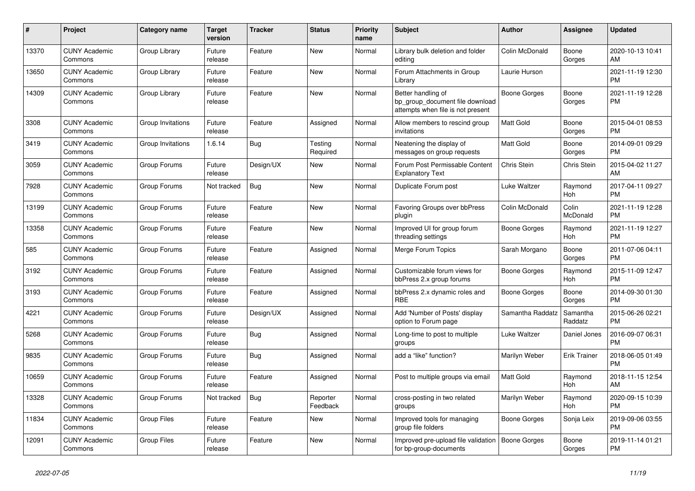| #     | Project                         | Category name      | Target<br>version | Tracker    | <b>Status</b>        | <b>Priority</b><br>name | <b>Subject</b>                                                                             | <b>Author</b>    | Assignee            | <b>Updated</b>                |
|-------|---------------------------------|--------------------|-------------------|------------|----------------------|-------------------------|--------------------------------------------------------------------------------------------|------------------|---------------------|-------------------------------|
| 13370 | <b>CUNY Academic</b><br>Commons | Group Library      | Future<br>release | Feature    | New                  | Normal                  | Library bulk deletion and folder<br>editing                                                | Colin McDonald   | Boone<br>Gorges     | 2020-10-13 10:41<br>AM        |
| 13650 | <b>CUNY Academic</b><br>Commons | Group Library      | Future<br>release | Feature    | New                  | Normal                  | Forum Attachments in Group<br>Library                                                      | Laurie Hurson    |                     | 2021-11-19 12:30<br><b>PM</b> |
| 14309 | <b>CUNY Academic</b><br>Commons | Group Library      | Future<br>release | Feature    | New                  | Normal                  | Better handling of<br>bp group document file download<br>attempts when file is not present | Boone Gorges     | Boone<br>Gorges     | 2021-11-19 12:28<br><b>PM</b> |
| 3308  | <b>CUNY Academic</b><br>Commons | Group Invitations  | Future<br>release | Feature    | Assigned             | Normal                  | Allow members to rescind group<br>invitations                                              | Matt Gold        | Boone<br>Gorges     | 2015-04-01 08:53<br><b>PM</b> |
| 3419  | <b>CUNY Academic</b><br>Commons | Group Invitations  | 1.6.14            | Bug        | Testing<br>Required  | Normal                  | Neatening the display of<br>messages on group requests                                     | <b>Matt Gold</b> | Boone<br>Gorges     | 2014-09-01 09:29<br><b>PM</b> |
| 3059  | <b>CUNY Academic</b><br>Commons | Group Forums       | Future<br>release | Design/UX  | New                  | Normal                  | Forum Post Permissable Content<br><b>Explanatory Text</b>                                  | Chris Stein      | Chris Stein         | 2015-04-02 11:27<br>AM        |
| 7928  | <b>CUNY Academic</b><br>Commons | Group Forums       | Not tracked       | <b>Bug</b> | <b>New</b>           | Normal                  | Duplicate Forum post                                                                       | Luke Waltzer     | Raymond<br>Hoh      | 2017-04-11 09:27<br><b>PM</b> |
| 13199 | <b>CUNY Academic</b><br>Commons | Group Forums       | Future<br>release | Feature    | New                  | Normal                  | Favoring Groups over bbPress<br>plugin                                                     | Colin McDonald   | Colin<br>McDonald   | 2021-11-19 12:28<br><b>PM</b> |
| 13358 | <b>CUNY Academic</b><br>Commons | Group Forums       | Future<br>release | Feature    | New                  | Normal                  | Improved UI for group forum<br>threading settings                                          | Boone Gorges     | Raymond<br>Hoh      | 2021-11-19 12:27<br><b>PM</b> |
| 585   | <b>CUNY Academic</b><br>Commons | Group Forums       | Future<br>release | Feature    | Assigned             | Normal                  | Merge Forum Topics                                                                         | Sarah Morgano    | Boone<br>Gorges     | 2011-07-06 04:11<br><b>PM</b> |
| 3192  | <b>CUNY Academic</b><br>Commons | Group Forums       | Future<br>release | Feature    | Assigned             | Normal                  | Customizable forum views for<br>bbPress 2.x group forums                                   | Boone Gorges     | Raymond<br>Hoh      | 2015-11-09 12:47<br><b>PM</b> |
| 3193  | <b>CUNY Academic</b><br>Commons | Group Forums       | Future<br>release | Feature    | Assigned             | Normal                  | bbPress 2.x dynamic roles and<br><b>RBE</b>                                                | Boone Gorges     | Boone<br>Gorges     | 2014-09-30 01:30<br><b>PM</b> |
| 4221  | <b>CUNY Academic</b><br>Commons | Group Forums       | Future<br>release | Design/UX  | Assigned             | Normal                  | Add 'Number of Posts' display<br>option to Forum page                                      | Samantha Raddatz | Samantha<br>Raddatz | 2015-06-26 02:21<br><b>PM</b> |
| 5268  | <b>CUNY Academic</b><br>Commons | Group Forums       | Future<br>release | <b>Bug</b> | Assigned             | Normal                  | Long-time to post to multiple<br>groups                                                    | Luke Waltzer     | Daniel Jones        | 2016-09-07 06:31<br><b>PM</b> |
| 9835  | <b>CUNY Academic</b><br>Commons | Group Forums       | Future<br>release | Bug        | Assigned             | Normal                  | add a "like" function?                                                                     | Marilyn Weber    | <b>Erik Trainer</b> | 2018-06-05 01:49<br><b>PM</b> |
| 10659 | <b>CUNY Academic</b><br>Commons | Group Forums       | Future<br>release | Feature    | Assigned             | Normal                  | Post to multiple groups via email                                                          | <b>Matt Gold</b> | Raymond<br>Hoh      | 2018-11-15 12:54<br>AM        |
| 13328 | <b>CUNY Academic</b><br>Commons | Group Forums       | Not tracked       | Bug        | Reporter<br>Feedback | Normal                  | cross-posting in two related<br>groups                                                     | Marilyn Weber    | Raymond<br>Hoh      | 2020-09-15 10:39<br><b>PM</b> |
| 11834 | <b>CUNY Academic</b><br>Commons | <b>Group Files</b> | Future<br>release | Feature    | New                  | Normal                  | Improved tools for managing<br>group file folders                                          | Boone Gorges     | Sonja Leix          | 2019-09-06 03:55<br><b>PM</b> |
| 12091 | <b>CUNY Academic</b><br>Commons | <b>Group Files</b> | Future<br>release | Feature    | <b>New</b>           | Normal                  | Improved pre-upload file validation<br>for bp-group-documents                              | Boone Gorges     | Boone<br>Gorges     | 2019-11-14 01:21<br><b>PM</b> |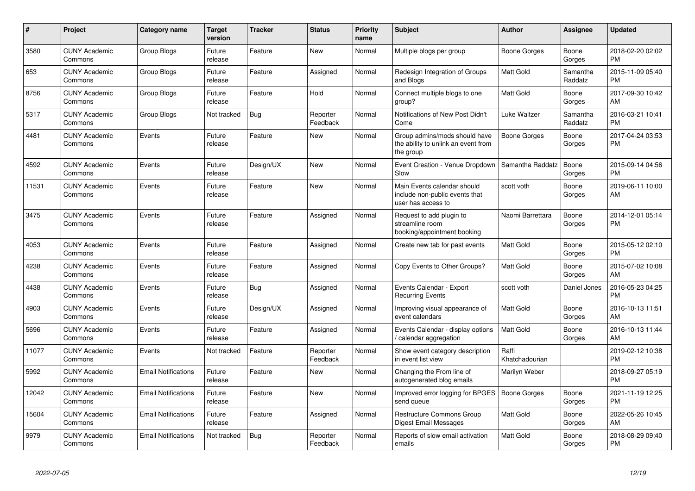| #     | Project                         | <b>Category name</b>       | <b>Target</b><br>version | <b>Tracker</b> | <b>Status</b>        | <b>Priority</b><br>name | <b>Subject</b>                                                                      | <b>Author</b>           | <b>Assignee</b>     | <b>Updated</b>                |
|-------|---------------------------------|----------------------------|--------------------------|----------------|----------------------|-------------------------|-------------------------------------------------------------------------------------|-------------------------|---------------------|-------------------------------|
| 3580  | <b>CUNY Academic</b><br>Commons | Group Blogs                | Future<br>release        | Feature        | <b>New</b>           | Normal                  | Multiple blogs per group                                                            | Boone Gorges            | Boone<br>Gorges     | 2018-02-20 02:02<br><b>PM</b> |
| 653   | <b>CUNY Academic</b><br>Commons | <b>Group Blogs</b>         | Future<br>release        | Feature        | Assigned             | Normal                  | Redesign Integration of Groups<br>and Blogs                                         | <b>Matt Gold</b>        | Samantha<br>Raddatz | 2015-11-09 05:40<br><b>PM</b> |
| 8756  | <b>CUNY Academic</b><br>Commons | Group Blogs                | Future<br>release        | Feature        | Hold                 | Normal                  | Connect multiple blogs to one<br>group?                                             | <b>Matt Gold</b>        | Boone<br>Gorges     | 2017-09-30 10:42<br>AM        |
| 5317  | <b>CUNY Academic</b><br>Commons | Group Blogs                | Not tracked              | Bug            | Reporter<br>Feedback | Normal                  | Notifications of New Post Didn't<br>Come                                            | Luke Waltzer            | Samantha<br>Raddatz | 2016-03-21 10:41<br><b>PM</b> |
| 4481  | <b>CUNY Academic</b><br>Commons | Events                     | Future<br>release        | Feature        | <b>New</b>           | Normal                  | Group admins/mods should have<br>the ability to unlink an event from<br>the group   | Boone Gorges            | Boone<br>Gorges     | 2017-04-24 03:53<br><b>PM</b> |
| 4592  | <b>CUNY Academic</b><br>Commons | Events                     | Future<br>release        | Design/UX      | <b>New</b>           | Normal                  | Event Creation - Venue Dropdown<br>Slow                                             | Samantha Raddatz        | Boone<br>Gorges     | 2015-09-14 04:56<br><b>PM</b> |
| 11531 | <b>CUNY Academic</b><br>Commons | Events                     | Future<br>release        | Feature        | <b>New</b>           | Normal                  | Main Events calendar should<br>include non-public events that<br>user has access to | scott voth              | Boone<br>Gorges     | 2019-06-11 10:00<br>AM        |
| 3475  | <b>CUNY Academic</b><br>Commons | Events                     | Future<br>release        | Feature        | Assigned             | Normal                  | Request to add plugin to<br>streamline room<br>booking/appointment booking          | Naomi Barrettara        | Boone<br>Gorges     | 2014-12-01 05:14<br><b>PM</b> |
| 4053  | <b>CUNY Academic</b><br>Commons | Events                     | Future<br>release        | Feature        | Assigned             | Normal                  | Create new tab for past events                                                      | <b>Matt Gold</b>        | Boone<br>Gorges     | 2015-05-12 02:10<br><b>PM</b> |
| 4238  | <b>CUNY Academic</b><br>Commons | Events                     | Future<br>release        | Feature        | Assigned             | Normal                  | Copy Events to Other Groups?                                                        | <b>Matt Gold</b>        | Boone<br>Gorges     | 2015-07-02 10:08<br>AM        |
| 4438  | <b>CUNY Academic</b><br>Commons | Events                     | Future<br>release        | Bug            | Assigned             | Normal                  | Events Calendar - Export<br><b>Recurring Events</b>                                 | scott voth              | Daniel Jones        | 2016-05-23 04:25<br><b>PM</b> |
| 4903  | <b>CUNY Academic</b><br>Commons | Events                     | Future<br>release        | Design/UX      | Assigned             | Normal                  | Improving visual appearance of<br>event calendars                                   | <b>Matt Gold</b>        | Boone<br>Gorges     | 2016-10-13 11:51<br>AM        |
| 5696  | <b>CUNY Academic</b><br>Commons | Events                     | Future<br>release        | Feature        | Assigned             | Normal                  | Events Calendar - display options<br>calendar aggregation /                         | <b>Matt Gold</b>        | Boone<br>Gorges     | 2016-10-13 11:44<br>AM        |
| 11077 | <b>CUNY Academic</b><br>Commons | Events                     | Not tracked              | Feature        | Reporter<br>Feedback | Normal                  | Show event category description<br>in event list view                               | Raffi<br>Khatchadourian |                     | 2019-02-12 10:38<br><b>PM</b> |
| 5992  | <b>CUNY Academic</b><br>Commons | <b>Email Notifications</b> | Future<br>release        | Feature        | New                  | Normal                  | Changing the From line of<br>autogenerated blog emails                              | Marilyn Weber           |                     | 2018-09-27 05:19<br><b>PM</b> |
| 12042 | <b>CUNY Academic</b><br>Commons | <b>Email Notifications</b> | Future<br>release        | Feature        | <b>New</b>           | Normal                  | Improved error logging for BPGES<br>send queue                                      | <b>Boone Gorges</b>     | Boone<br>Gorges     | 2021-11-19 12:25<br><b>PM</b> |
| 15604 | <b>CUNY Academic</b><br>Commons | <b>Email Notifications</b> | Future<br>release        | Feature        | Assigned             | Normal                  | <b>Restructure Commons Group</b><br><b>Digest Email Messages</b>                    | <b>Matt Gold</b>        | Boone<br>Gorges     | 2022-05-26 10:45<br>AM        |
| 9979  | <b>CUNY Academic</b><br>Commons | <b>Email Notifications</b> | Not tracked              | Bug            | Reporter<br>Feedback | Normal                  | Reports of slow email activation<br>emails                                          | <b>Matt Gold</b>        | Boone<br>Gorges     | 2018-08-29 09:40<br><b>PM</b> |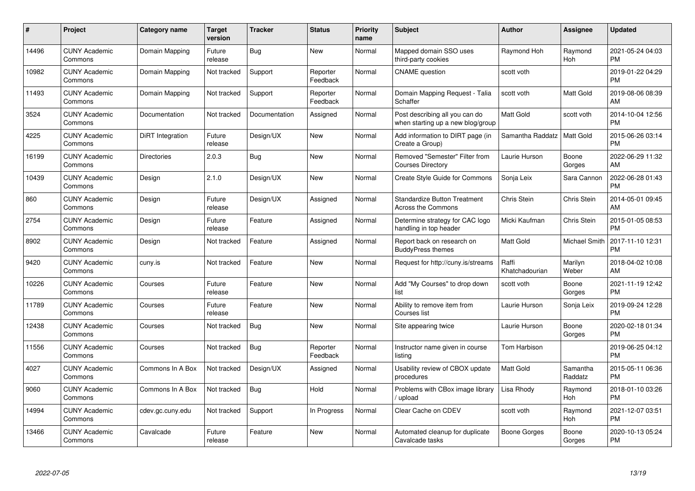| $\pmb{\#}$ | Project                         | <b>Category name</b> | <b>Target</b><br>version | <b>Tracker</b> | <b>Status</b>        | <b>Priority</b><br>name | <b>Subject</b>                                                      | <b>Author</b>           | <b>Assignee</b>     | <b>Updated</b>                |
|------------|---------------------------------|----------------------|--------------------------|----------------|----------------------|-------------------------|---------------------------------------------------------------------|-------------------------|---------------------|-------------------------------|
| 14496      | <b>CUNY Academic</b><br>Commons | Domain Mapping       | Future<br>release        | Bug            | <b>New</b>           | Normal                  | Mapped domain SSO uses<br>third-party cookies                       | Raymond Hoh             | Raymond<br>Hoh      | 2021-05-24 04:03<br><b>PM</b> |
| 10982      | <b>CUNY Academic</b><br>Commons | Domain Mapping       | Not tracked              | Support        | Reporter<br>Feedback | Normal                  | <b>CNAME</b> question                                               | scott voth              |                     | 2019-01-22 04:29<br><b>PM</b> |
| 11493      | <b>CUNY Academic</b><br>Commons | Domain Mapping       | Not tracked              | Support        | Reporter<br>Feedback | Normal                  | Domain Mapping Request - Talia<br>Schaffer                          | scott voth              | Matt Gold           | 2019-08-06 08:39<br>AM        |
| 3524       | <b>CUNY Academic</b><br>Commons | Documentation        | Not tracked              | Documentation  | Assigned             | Normal                  | Post describing all you can do<br>when starting up a new blog/group | Matt Gold               | scott voth          | 2014-10-04 12:56<br><b>PM</b> |
| 4225       | <b>CUNY Academic</b><br>Commons | DiRT Integration     | Future<br>release        | Design/UX      | <b>New</b>           | Normal                  | Add information to DIRT page (in<br>Create a Group)                 | Samantha Raddatz        | <b>Matt Gold</b>    | 2015-06-26 03:14<br><b>PM</b> |
| 16199      | <b>CUNY Academic</b><br>Commons | <b>Directories</b>   | 2.0.3                    | <b>Bug</b>     | New                  | Normal                  | Removed "Semester" Filter from<br><b>Courses Directory</b>          | Laurie Hurson           | Boone<br>Gorges     | 2022-06-29 11:32<br>AM        |
| 10439      | <b>CUNY Academic</b><br>Commons | Design               | 2.1.0                    | Design/UX      | <b>New</b>           | Normal                  | Create Style Guide for Commons                                      | Sonja Leix              | Sara Cannon         | 2022-06-28 01:43<br><b>PM</b> |
| 860        | <b>CUNY Academic</b><br>Commons | Design               | Future<br>release        | Design/UX      | Assigned             | Normal                  | <b>Standardize Button Treatment</b><br><b>Across the Commons</b>    | Chris Stein             | Chris Stein         | 2014-05-01 09:45<br>AM        |
| 2754       | <b>CUNY Academic</b><br>Commons | Design               | Future<br>release        | Feature        | Assigned             | Normal                  | Determine strategy for CAC logo<br>handling in top header           | Micki Kaufman           | Chris Stein         | 2015-01-05 08:53<br><b>PM</b> |
| 8902       | <b>CUNY Academic</b><br>Commons | Design               | Not tracked              | Feature        | Assigned             | Normal                  | Report back on research on<br><b>BuddyPress themes</b>              | Matt Gold               | Michael Smith       | 2017-11-10 12:31<br><b>PM</b> |
| 9420       | <b>CUNY Academic</b><br>Commons | cuny.is              | Not tracked              | Feature        | New                  | Normal                  | Request for http://cuny.is/streams                                  | Raffi<br>Khatchadourian | Marilyn<br>Weber    | 2018-04-02 10:08<br>AM        |
| 10226      | <b>CUNY Academic</b><br>Commons | Courses              | Future<br>release        | Feature        | New                  | Normal                  | Add "My Courses" to drop down<br>list                               | scott voth              | Boone<br>Gorges     | 2021-11-19 12:42<br><b>PM</b> |
| 11789      | <b>CUNY Academic</b><br>Commons | Courses              | Future<br>release        | Feature        | New                  | Normal                  | Ability to remove item from<br>Courses list                         | Laurie Hurson           | Sonja Leix          | 2019-09-24 12:28<br><b>PM</b> |
| 12438      | <b>CUNY Academic</b><br>Commons | Courses              | Not tracked              | Bug            | New                  | Normal                  | Site appearing twice                                                | Laurie Hurson           | Boone<br>Gorges     | 2020-02-18 01:34<br><b>PM</b> |
| 11556      | <b>CUNY Academic</b><br>Commons | Courses              | Not tracked              | <b>Bug</b>     | Reporter<br>Feedback | Normal                  | Instructor name given in course<br>listing                          | Tom Harbison            |                     | 2019-06-25 04:12<br><b>PM</b> |
| 4027       | <b>CUNY Academic</b><br>Commons | Commons In A Box     | Not tracked              | Design/UX      | Assigned             | Normal                  | Usability review of CBOX update<br>procedures                       | <b>Matt Gold</b>        | Samantha<br>Raddatz | 2015-05-11 06:36<br><b>PM</b> |
| 9060       | <b>CUNY Academic</b><br>Commons | Commons In A Box     | Not tracked              | Bug            | Hold                 | Normal                  | Problems with CBox image library<br>upload                          | Lisa Rhody              | Raymond<br>Hoh      | 2018-01-10 03:26<br><b>PM</b> |
| 14994      | <b>CUNY Academic</b><br>Commons | cdev.gc.cuny.edu     | Not tracked              | Support        | In Progress          | Normal                  | Clear Cache on CDEV                                                 | scott voth              | Raymond<br>Hoh      | 2021-12-07 03:51<br><b>PM</b> |
| 13466      | <b>CUNY Academic</b><br>Commons | Cavalcade            | Future<br>release        | Feature        | <b>New</b>           | Normal                  | Automated cleanup for duplicate<br>Cavalcade tasks                  | Boone Gorges            | Boone<br>Gorges     | 2020-10-13 05:24<br><b>PM</b> |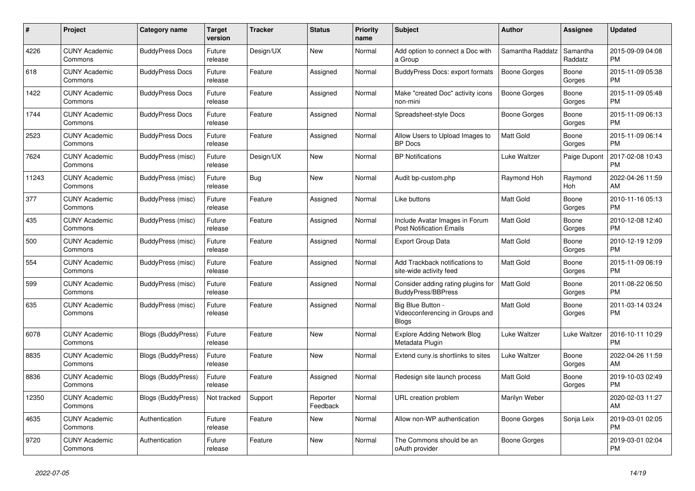| $\#$  | Project                         | <b>Category name</b>      | <b>Target</b><br>version | <b>Tracker</b> | <b>Status</b>        | <b>Priority</b><br>name | <b>Subject</b>                                                       | <b>Author</b>       | Assignee            | <b>Updated</b>                |
|-------|---------------------------------|---------------------------|--------------------------|----------------|----------------------|-------------------------|----------------------------------------------------------------------|---------------------|---------------------|-------------------------------|
| 4226  | <b>CUNY Academic</b><br>Commons | <b>BuddyPress Docs</b>    | Future<br>release        | Design/UX      | New                  | Normal                  | Add option to connect a Doc with<br>a Group                          | Samantha Raddatz    | Samantha<br>Raddatz | 2015-09-09 04:08<br><b>PM</b> |
| 618   | <b>CUNY Academic</b><br>Commons | <b>BuddyPress Docs</b>    | Future<br>release        | Feature        | Assigned             | Normal                  | <b>BuddyPress Docs: export formats</b>                               | <b>Boone Gorges</b> | Boone<br>Gorges     | 2015-11-09 05:38<br><b>PM</b> |
| 1422  | <b>CUNY Academic</b><br>Commons | <b>BuddyPress Docs</b>    | Future<br>release        | Feature        | Assigned             | Normal                  | Make "created Doc" activity icons<br>non-mini                        | Boone Gorges        | Boone<br>Gorges     | 2015-11-09 05:48<br><b>PM</b> |
| 1744  | <b>CUNY Academic</b><br>Commons | <b>BuddyPress Docs</b>    | Future<br>release        | Feature        | Assigned             | Normal                  | Spreadsheet-style Docs                                               | Boone Gorges        | Boone<br>Gorges     | 2015-11-09 06:13<br><b>PM</b> |
| 2523  | <b>CUNY Academic</b><br>Commons | <b>BuddyPress Docs</b>    | Future<br>release        | Feature        | Assigned             | Normal                  | Allow Users to Upload Images to<br><b>BP</b> Docs                    | <b>Matt Gold</b>    | Boone<br>Gorges     | 2015-11-09 06:14<br><b>PM</b> |
| 7624  | <b>CUNY Academic</b><br>Commons | BuddyPress (misc)         | Future<br>release        | Design/UX      | <b>New</b>           | Normal                  | <b>BP Notifications</b>                                              | Luke Waltzer        | Paige Dupont        | 2017-02-08 10:43<br><b>PM</b> |
| 11243 | <b>CUNY Academic</b><br>Commons | BuddyPress (misc)         | Future<br>release        | Bug            | New                  | Normal                  | Audit bp-custom.php                                                  | Raymond Hoh         | Raymond<br>Hoh      | 2022-04-26 11:59<br>AM        |
| 377   | <b>CUNY Academic</b><br>Commons | BuddyPress (misc)         | Future<br>release        | Feature        | Assigned             | Normal                  | Like buttons                                                         | Matt Gold           | Boone<br>Gorges     | 2010-11-16 05:13<br><b>PM</b> |
| 435   | <b>CUNY Academic</b><br>Commons | BuddyPress (misc)         | Future<br>release        | Feature        | Assigned             | Normal                  | Include Avatar Images in Forum<br><b>Post Notification Emails</b>    | Matt Gold           | Boone<br>Gorges     | 2010-12-08 12:40<br><b>PM</b> |
| 500   | <b>CUNY Academic</b><br>Commons | BuddyPress (misc)         | Future<br>release        | Feature        | Assigned             | Normal                  | <b>Export Group Data</b>                                             | Matt Gold           | Boone<br>Gorges     | 2010-12-19 12:09<br><b>PM</b> |
| 554   | <b>CUNY Academic</b><br>Commons | BuddyPress (misc)         | Future<br>release        | Feature        | Assigned             | Normal                  | Add Trackback notifications to<br>site-wide activity feed            | Matt Gold           | Boone<br>Gorges     | 2015-11-09 06:19<br><b>PM</b> |
| 599   | <b>CUNY Academic</b><br>Commons | BuddyPress (misc)         | Future<br>release        | Feature        | Assigned             | Normal                  | Consider adding rating plugins for<br><b>BuddyPress/BBPress</b>      | <b>Matt Gold</b>    | Boone<br>Gorges     | 2011-08-22 06:50<br><b>PM</b> |
| 635   | <b>CUNY Academic</b><br>Commons | BuddyPress (misc)         | Future<br>release        | Feature        | Assigned             | Normal                  | Big Blue Button -<br>Videoconferencing in Groups and<br><b>Blogs</b> | Matt Gold           | Boone<br>Gorges     | 2011-03-14 03:24<br><b>PM</b> |
| 6078  | <b>CUNY Academic</b><br>Commons | <b>Blogs (BuddyPress)</b> | Future<br>release        | Feature        | <b>New</b>           | Normal                  | Explore Adding Network Blog<br>Metadata Plugin                       | Luke Waltzer        | Luke Waltzer        | 2016-10-11 10:29<br><b>PM</b> |
| 8835  | <b>CUNY Academic</b><br>Commons | <b>Blogs (BuddyPress)</b> | Future<br>release        | Feature        | <b>New</b>           | Normal                  | Extend cuny is shortlinks to sites                                   | Luke Waltzer        | Boone<br>Gorges     | 2022-04-26 11:59<br>AM        |
| 8836  | <b>CUNY Academic</b><br>Commons | <b>Blogs (BuddyPress)</b> | Future<br>release        | Feature        | Assigned             | Normal                  | Redesign site launch process                                         | Matt Gold           | Boone<br>Gorges     | 2019-10-03 02:49<br><b>PM</b> |
| 12350 | <b>CUNY Academic</b><br>Commons | <b>Blogs (BuddyPress)</b> | Not tracked              | Support        | Reporter<br>Feedback | Normal                  | URL creation problem                                                 | Marilyn Weber       |                     | 2020-02-03 11:27<br>AM        |
| 4635  | <b>CUNY Academic</b><br>Commons | Authentication            | Future<br>release        | Feature        | <b>New</b>           | Normal                  | Allow non-WP authentication                                          | Boone Gorges        | Sonja Leix          | 2019-03-01 02:05<br><b>PM</b> |
| 9720  | <b>CUNY Academic</b><br>Commons | Authentication            | Future<br>release        | Feature        | New                  | Normal                  | The Commons should be an<br>oAuth provider                           | Boone Gorges        |                     | 2019-03-01 02:04<br><b>PM</b> |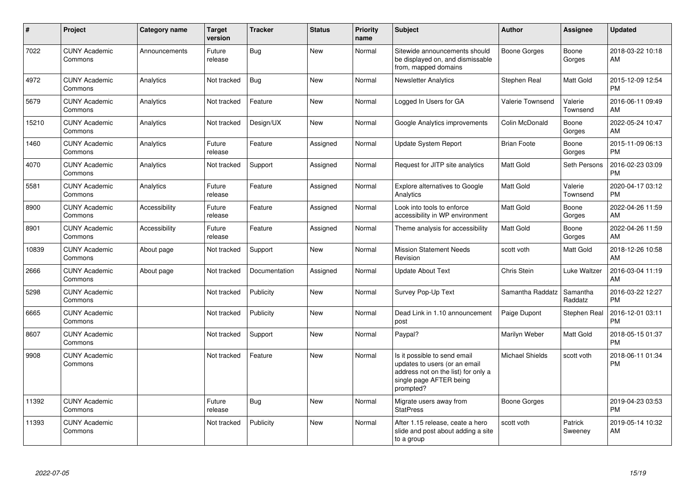| $\#$  | Project                         | <b>Category name</b> | <b>Target</b><br>version | <b>Tracker</b> | <b>Status</b> | Priority<br>name | <b>Subject</b>                                                                                                                               | <b>Author</b>      | <b>Assignee</b>     | <b>Updated</b>                |
|-------|---------------------------------|----------------------|--------------------------|----------------|---------------|------------------|----------------------------------------------------------------------------------------------------------------------------------------------|--------------------|---------------------|-------------------------------|
| 7022  | <b>CUNY Academic</b><br>Commons | Announcements        | Future<br>release        | Bug            | <b>New</b>    | Normal           | Sitewide announcements should<br>be displayed on, and dismissable<br>from, mapped domains                                                    | Boone Gorges       | Boone<br>Gorges     | 2018-03-22 10:18<br>AM        |
| 4972  | <b>CUNY Academic</b><br>Commons | Analytics            | Not tracked              | Bug            | <b>New</b>    | Normal           | Newsletter Analytics                                                                                                                         | Stephen Real       | Matt Gold           | 2015-12-09 12:54<br><b>PM</b> |
| 5679  | <b>CUNY Academic</b><br>Commons | Analytics            | Not tracked              | Feature        | <b>New</b>    | Normal           | Logged In Users for GA                                                                                                                       | Valerie Townsend   | Valerie<br>Townsend | 2016-06-11 09:49<br><b>AM</b> |
| 15210 | <b>CUNY Academic</b><br>Commons | Analytics            | Not tracked              | Design/UX      | <b>New</b>    | Normal           | Google Analytics improvements                                                                                                                | Colin McDonald     | Boone<br>Gorges     | 2022-05-24 10:47<br><b>AM</b> |
| 1460  | <b>CUNY Academic</b><br>Commons | Analytics            | Future<br>release        | Feature        | Assigned      | Normal           | <b>Update System Report</b>                                                                                                                  | <b>Brian Foote</b> | Boone<br>Gorges     | 2015-11-09 06:13<br><b>PM</b> |
| 4070  | <b>CUNY Academic</b><br>Commons | Analytics            | Not tracked              | Support        | Assigned      | Normal           | Request for JITP site analytics                                                                                                              | Matt Gold          | Seth Persons        | 2016-02-23 03:09<br><b>PM</b> |
| 5581  | <b>CUNY Academic</b><br>Commons | Analytics            | Future<br>release        | Feature        | Assigned      | Normal           | <b>Explore alternatives to Google</b><br>Analytics                                                                                           | <b>Matt Gold</b>   | Valerie<br>Townsend | 2020-04-17 03:12<br><b>PM</b> |
| 8900  | <b>CUNY Academic</b><br>Commons | Accessibility        | Future<br>release        | Feature        | Assigned      | Normal           | Look into tools to enforce<br>accessibility in WP environment                                                                                | Matt Gold          | Boone<br>Gorges     | 2022-04-26 11:59<br>AM        |
| 8901  | <b>CUNY Academic</b><br>Commons | Accessibility        | Future<br>release        | Feature        | Assigned      | Normal           | Theme analysis for accessibility                                                                                                             | <b>Matt Gold</b>   | Boone<br>Gorges     | 2022-04-26 11:59<br>AM        |
| 10839 | <b>CUNY Academic</b><br>Commons | About page           | Not tracked              | Support        | <b>New</b>    | Normal           | <b>Mission Statement Needs</b><br>Revision                                                                                                   | scott voth         | Matt Gold           | 2018-12-26 10:58<br>AM        |
| 2666  | <b>CUNY Academic</b><br>Commons | About page           | Not tracked              | Documentation  | Assigned      | Normal           | <b>Update About Text</b>                                                                                                                     | Chris Stein        | Luke Waltzer        | 2016-03-04 11:19<br>AM        |
| 5298  | <b>CUNY Academic</b><br>Commons |                      | Not tracked              | Publicity      | New           | Normal           | Survey Pop-Up Text                                                                                                                           | Samantha Raddatz   | Samantha<br>Raddatz | 2016-03-22 12:27<br><b>PM</b> |
| 6665  | <b>CUNY Academic</b><br>Commons |                      | Not tracked              | Publicity      | <b>New</b>    | Normal           | Dead Link in 1.10 announcement<br>post                                                                                                       | Paige Dupont       | Stephen Real        | 2016-12-01 03:11<br><b>PM</b> |
| 8607  | <b>CUNY Academic</b><br>Commons |                      | Not tracked              | Support        | <b>New</b>    | Normal           | Paypal?                                                                                                                                      | Marilyn Weber      | Matt Gold           | 2018-05-15 01:37<br><b>PM</b> |
| 9908  | <b>CUNY Academic</b><br>Commons |                      | Not tracked              | Feature        | <b>New</b>    | Normal           | Is it possible to send email<br>updates to users (or an email<br>address not on the list) for only a<br>single page AFTER being<br>prompted? | Michael Shields    | scott voth          | 2018-06-11 01:34<br><b>PM</b> |
| 11392 | <b>CUNY Academic</b><br>Commons |                      | Future<br>release        | Bug            | New           | Normal           | Migrate users away from<br><b>StatPress</b>                                                                                                  | Boone Gorges       |                     | 2019-04-23 03:53<br><b>PM</b> |
| 11393 | <b>CUNY Academic</b><br>Commons |                      | Not tracked              | Publicity      | <b>New</b>    | Normal           | After 1.15 release, ceate a hero<br>slide and post about adding a site<br>to a group                                                         | scott voth         | Patrick<br>Sweeney  | 2019-05-14 10:32<br>AM        |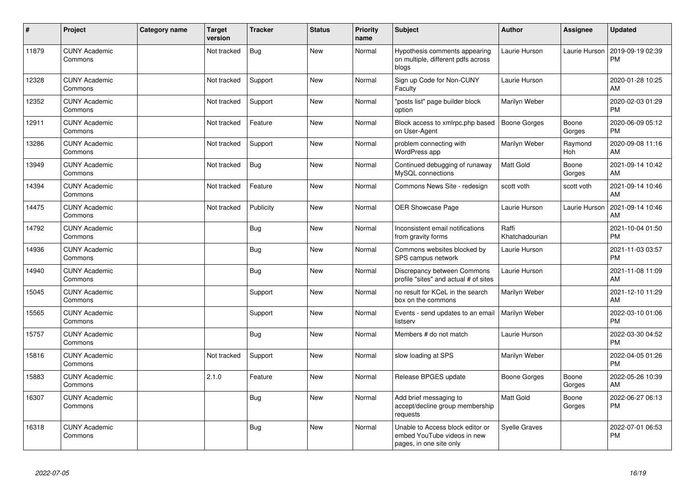| #     | Project                         | Category name | <b>Target</b><br>version | <b>Tracker</b> | <b>Status</b> | Priority<br>name | Subject                                                                                    | <b>Author</b>           | <b>Assignee</b>       | <b>Updated</b>                |
|-------|---------------------------------|---------------|--------------------------|----------------|---------------|------------------|--------------------------------------------------------------------------------------------|-------------------------|-----------------------|-------------------------------|
| 11879 | <b>CUNY Academic</b><br>Commons |               | Not tracked              | Bug            | <b>New</b>    | Normal           | Hypothesis comments appearing<br>on multiple, different pdfs across<br>blogs               | Laurie Hurson           | Laurie Hurson         | 2019-09-19 02:39<br><b>PM</b> |
| 12328 | <b>CUNY Academic</b><br>Commons |               | Not tracked              | Support        | <b>New</b>    | Normal           | Sign up Code for Non-CUNY<br>Faculty                                                       | Laurie Hurson           |                       | 2020-01-28 10:25<br>AM        |
| 12352 | <b>CUNY Academic</b><br>Commons |               | Not tracked              | Support        | <b>New</b>    | Normal           | 'posts list" page builder block<br>option                                                  | Marilyn Weber           |                       | 2020-02-03 01:29<br><b>PM</b> |
| 12911 | <b>CUNY Academic</b><br>Commons |               | Not tracked              | Feature        | <b>New</b>    | Normal           | Block access to xmlrpc.php based<br>on User-Agent                                          | <b>Boone Gorges</b>     | Boone<br>Gorges       | 2020-06-09 05:12<br><b>PM</b> |
| 13286 | <b>CUNY Academic</b><br>Commons |               | Not tracked              | Support        | <b>New</b>    | Normal           | problem connecting with<br>WordPress app                                                   | Marilyn Weber           | Raymond<br><b>Hoh</b> | 2020-09-08 11:16<br>AM        |
| 13949 | <b>CUNY Academic</b><br>Commons |               | Not tracked              | <b>Bug</b>     | <b>New</b>    | Normal           | Continued debugging of runaway<br>MySQL connections                                        | Matt Gold               | Boone<br>Gorges       | 2021-09-14 10:42<br>AM        |
| 14394 | <b>CUNY Academic</b><br>Commons |               | Not tracked              | Feature        | <b>New</b>    | Normal           | Commons News Site - redesign                                                               | scott voth              | scott voth            | 2021-09-14 10:46<br>AM        |
| 14475 | <b>CUNY Academic</b><br>Commons |               | Not tracked              | Publicity      | <b>New</b>    | Normal           | OER Showcase Page                                                                          | Laurie Hurson           | Laurie Hurson         | 2021-09-14 10:46<br>AM        |
| 14792 | <b>CUNY Academic</b><br>Commons |               |                          | <b>Bug</b>     | New           | Normal           | Inconsistent email notifications<br>from gravity forms                                     | Raffi<br>Khatchadourian |                       | 2021-10-04 01:50<br><b>PM</b> |
| 14936 | <b>CUNY Academic</b><br>Commons |               |                          | Bug            | New           | Normal           | Commons websites blocked by<br>SPS campus network                                          | Laurie Hurson           |                       | 2021-11-03 03:57<br><b>PM</b> |
| 14940 | <b>CUNY Academic</b><br>Commons |               |                          | Bug            | <b>New</b>    | Normal           | Discrepancy between Commons<br>profile "sites" and actual # of sites                       | Laurie Hurson           |                       | 2021-11-08 11:09<br>AM        |
| 15045 | <b>CUNY Academic</b><br>Commons |               |                          | Support        | <b>New</b>    | Normal           | no result for KCeL in the search<br>box on the commons                                     | Marilyn Weber           |                       | 2021-12-10 11:29<br>AM        |
| 15565 | <b>CUNY Academic</b><br>Commons |               |                          | Support        | <b>New</b>    | Normal           | Events - send updates to an email<br>listserv                                              | Marilyn Weber           |                       | 2022-03-10 01:06<br><b>PM</b> |
| 15757 | <b>CUNY Academic</b><br>Commons |               |                          | <b>Bug</b>     | <b>New</b>    | Normal           | Members # do not match                                                                     | Laurie Hurson           |                       | 2022-03-30 04:52<br><b>PM</b> |
| 15816 | <b>CUNY Academic</b><br>Commons |               | Not tracked              | Support        | <b>New</b>    | Normal           | slow loading at SPS                                                                        | Marilyn Weber           |                       | 2022-04-05 01:26<br><b>PM</b> |
| 15883 | <b>CUNY Academic</b><br>Commons |               | 2.1.0                    | Feature        | <b>New</b>    | Normal           | Release BPGES update                                                                       | Boone Gorges            | Boone<br>Gorges       | 2022-05-26 10:39<br>AM        |
| 16307 | <b>CUNY Academic</b><br>Commons |               |                          | <b>Bug</b>     | <b>New</b>    | Normal           | Add brief messaging to<br>accept/decline group membership<br>requests                      | <b>Matt Gold</b>        | Boone<br>Gorges       | 2022-06-27 06:13<br><b>PM</b> |
| 16318 | <b>CUNY Academic</b><br>Commons |               |                          | Bug            | <b>New</b>    | Normal           | Unable to Access block editor or<br>embed YouTube videos in new<br>pages, in one site only | <b>Syelle Graves</b>    |                       | 2022-07-01 06:53<br><b>PM</b> |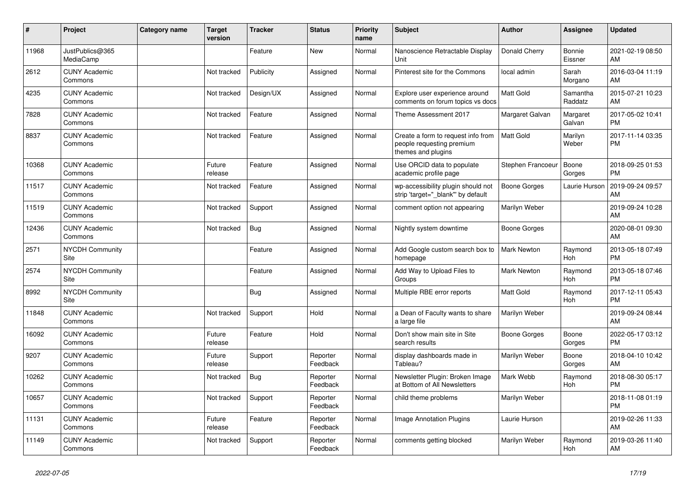| #     | Project                               | <b>Category name</b> | <b>Target</b><br>version | <b>Tracker</b> | <b>Status</b>        | <b>Priority</b><br>name | <b>Subject</b>                                                                        | <b>Author</b>      | <b>Assignee</b>          | <b>Updated</b>                |
|-------|---------------------------------------|----------------------|--------------------------|----------------|----------------------|-------------------------|---------------------------------------------------------------------------------------|--------------------|--------------------------|-------------------------------|
| 11968 | JustPublics@365<br>MediaCamp          |                      |                          | Feature        | New                  | Normal                  | Nanoscience Retractable Display<br>Unit                                               | Donald Cherry      | <b>Bonnie</b><br>Eissner | 2021-02-19 08:50<br>AM        |
| 2612  | <b>CUNY Academic</b><br>Commons       |                      | Not tracked              | Publicity      | Assigned             | Normal                  | Pinterest site for the Commons                                                        | local admin        | Sarah<br>Morgano         | 2016-03-04 11:19<br>AM        |
| 4235  | <b>CUNY Academic</b><br>Commons       |                      | Not tracked              | Design/UX      | Assigned             | Normal                  | Explore user experience around<br>comments on forum topics vs docs                    | <b>Matt Gold</b>   | Samantha<br>Raddatz      | 2015-07-21 10:23<br>AM        |
| 7828  | <b>CUNY Academic</b><br>Commons       |                      | Not tracked              | Feature        | Assigned             | Normal                  | Theme Assessment 2017                                                                 | Margaret Galvan    | Margaret<br>Galvan       | 2017-05-02 10:41<br><b>PM</b> |
| 8837  | <b>CUNY Academic</b><br>Commons       |                      | Not tracked              | Feature        | Assigned             | Normal                  | Create a form to request info from<br>people requesting premium<br>themes and plugins | <b>Matt Gold</b>   | Marilyn<br>Weber         | 2017-11-14 03:35<br><b>PM</b> |
| 10368 | <b>CUNY Academic</b><br>Commons       |                      | Future<br>release        | Feature        | Assigned             | Normal                  | Use ORCID data to populate<br>academic profile page                                   | Stephen Francoeu   | Boone<br>Gorges          | 2018-09-25 01:53<br><b>PM</b> |
| 11517 | <b>CUNY Academic</b><br>Commons       |                      | Not tracked              | Feature        | Assigned             | Normal                  | wp-accessibility plugin should not<br>strip 'target="_blank"' by default              | Boone Gorges       | Laurie Hurson            | 2019-09-24 09:57<br>AM        |
| 11519 | <b>CUNY Academic</b><br>Commons       |                      | Not tracked              | Support        | Assigned             | Normal                  | comment option not appearing                                                          | Marilyn Weber      |                          | 2019-09-24 10:28<br>AM        |
| 12436 | <b>CUNY Academic</b><br>Commons       |                      | Not tracked              | Bug            | Assigned             | Normal                  | Nightly system downtime                                                               | Boone Gorges       |                          | 2020-08-01 09:30<br>AM        |
| 2571  | <b>NYCDH Community</b><br><b>Site</b> |                      |                          | Feature        | Assigned             | Normal                  | Add Google custom search box to<br>homepage                                           | <b>Mark Newton</b> | Raymond<br>Hoh           | 2013-05-18 07:49<br><b>PM</b> |
| 2574  | <b>NYCDH Community</b><br>Site        |                      |                          | Feature        | Assigned             | Normal                  | Add Way to Upload Files to<br>Groups                                                  | <b>Mark Newton</b> | Raymond<br>Hoh           | 2013-05-18 07:46<br><b>PM</b> |
| 8992  | <b>NYCDH Community</b><br>Site        |                      |                          | Bug            | Assigned             | Normal                  | Multiple RBE error reports                                                            | <b>Matt Gold</b>   | Raymond<br>Hoh           | 2017-12-11 05:43<br><b>PM</b> |
| 11848 | <b>CUNY Academic</b><br>Commons       |                      | Not tracked              | Support        | Hold                 | Normal                  | a Dean of Faculty wants to share<br>a large file                                      | Marilyn Weber      |                          | 2019-09-24 08:44<br>AM        |
| 16092 | <b>CUNY Academic</b><br>Commons       |                      | Future<br>release        | Feature        | Hold                 | Normal                  | Don't show main site in Site<br>search results                                        | Boone Gorges       | Boone<br>Gorges          | 2022-05-17 03:12<br><b>PM</b> |
| 9207  | <b>CUNY Academic</b><br>Commons       |                      | Future<br>release        | Support        | Reporter<br>Feedback | Normal                  | display dashboards made in<br>Tableau?                                                | Marilyn Weber      | Boone<br>Gorges          | 2018-04-10 10:42<br>AM        |
| 10262 | <b>CUNY Academic</b><br>Commons       |                      | Not tracked              | <b>Bug</b>     | Reporter<br>Feedback | Normal                  | Newsletter Plugin: Broken Image<br>at Bottom of All Newsletters                       | Mark Webb          | Raymond<br>Hoh           | 2018-08-30 05:17<br><b>PM</b> |
| 10657 | <b>CUNY Academic</b><br>Commons       |                      | Not tracked              | Support        | Reporter<br>Feedback | Normal                  | child theme problems                                                                  | Marilyn Weber      |                          | 2018-11-08 01:19<br><b>PM</b> |
| 11131 | <b>CUNY Academic</b><br>Commons       |                      | Future<br>release        | Feature        | Reporter<br>Feedback | Normal                  | <b>Image Annotation Plugins</b>                                                       | Laurie Hurson      |                          | 2019-02-26 11:33<br>AM        |
| 11149 | <b>CUNY Academic</b><br>Commons       |                      | Not tracked              | Support        | Reporter<br>Feedback | Normal                  | comments getting blocked                                                              | Marilyn Weber      | Raymond<br>Hoh           | 2019-03-26 11:40<br>AM        |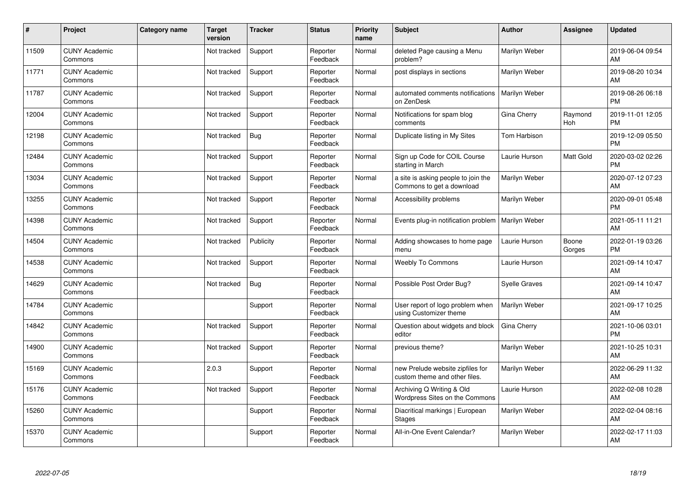| #     | Project                         | Category name | <b>Target</b><br>version | <b>Tracker</b> | <b>Status</b>        | <b>Priority</b><br>name | <b>Subject</b>                                                    | <b>Author</b> | <b>Assignee</b> | <b>Updated</b>                |
|-------|---------------------------------|---------------|--------------------------|----------------|----------------------|-------------------------|-------------------------------------------------------------------|---------------|-----------------|-------------------------------|
| 11509 | <b>CUNY Academic</b><br>Commons |               | Not tracked              | Support        | Reporter<br>Feedback | Normal                  | deleted Page causing a Menu<br>problem?                           | Marilyn Weber |                 | 2019-06-04 09:54<br>AM        |
| 11771 | <b>CUNY Academic</b><br>Commons |               | Not tracked              | Support        | Reporter<br>Feedback | Normal                  | post displays in sections                                         | Marilyn Weber |                 | 2019-08-20 10:34<br>AM        |
| 11787 | <b>CUNY Academic</b><br>Commons |               | Not tracked              | Support        | Reporter<br>Feedback | Normal                  | automated comments notifications<br>on ZenDesk                    | Marilyn Weber |                 | 2019-08-26 06:18<br><b>PM</b> |
| 12004 | <b>CUNY Academic</b><br>Commons |               | Not tracked              | Support        | Reporter<br>Feedback | Normal                  | Notifications for spam blog<br>comments                           | Gina Cherry   | Raymond<br>Hoh  | 2019-11-01 12:05<br><b>PM</b> |
| 12198 | <b>CUNY Academic</b><br>Commons |               | Not tracked              | <b>Bug</b>     | Reporter<br>Feedback | Normal                  | Duplicate listing in My Sites                                     | Tom Harbison  |                 | 2019-12-09 05:50<br><b>PM</b> |
| 12484 | <b>CUNY Academic</b><br>Commons |               | Not tracked              | Support        | Reporter<br>Feedback | Normal                  | Sign up Code for COIL Course<br>starting in March                 | Laurie Hurson | Matt Gold       | 2020-03-02 02:26<br><b>PM</b> |
| 13034 | <b>CUNY Academic</b><br>Commons |               | Not tracked              | Support        | Reporter<br>Feedback | Normal                  | a site is asking people to join the<br>Commons to get a download  | Marilyn Weber |                 | 2020-07-12 07:23<br>AM        |
| 13255 | <b>CUNY Academic</b><br>Commons |               | Not tracked              | Support        | Reporter<br>Feedback | Normal                  | Accessibility problems                                            | Marilyn Weber |                 | 2020-09-01 05:48<br><b>PM</b> |
| 14398 | <b>CUNY Academic</b><br>Commons |               | Not tracked              | Support        | Reporter<br>Feedback | Normal                  | Events plug-in notification problem                               | Marilyn Weber |                 | 2021-05-11 11:21<br>AM        |
| 14504 | <b>CUNY Academic</b><br>Commons |               | Not tracked              | Publicity      | Reporter<br>Feedback | Normal                  | Adding showcases to home page<br>menu                             | Laurie Hurson | Boone<br>Gorges | 2022-01-19 03:26<br>PM        |
| 14538 | <b>CUNY Academic</b><br>Commons |               | Not tracked              | Support        | Reporter<br>Feedback | Normal                  | <b>Weebly To Commons</b>                                          | Laurie Hurson |                 | 2021-09-14 10:47<br>AM        |
| 14629 | <b>CUNY Academic</b><br>Commons |               | Not tracked              | Bug            | Reporter<br>Feedback | Normal                  | Possible Post Order Bug?                                          | Syelle Graves |                 | 2021-09-14 10:47<br>AM        |
| 14784 | <b>CUNY Academic</b><br>Commons |               |                          | Support        | Reporter<br>Feedback | Normal                  | User report of logo problem when<br>using Customizer theme        | Marilyn Weber |                 | 2021-09-17 10:25<br>AM        |
| 14842 | <b>CUNY Academic</b><br>Commons |               | Not tracked              | Support        | Reporter<br>Feedback | Normal                  | Question about widgets and block<br>editor                        | Gina Cherry   |                 | 2021-10-06 03:01<br><b>PM</b> |
| 14900 | <b>CUNY Academic</b><br>Commons |               | Not tracked              | Support        | Reporter<br>Feedback | Normal                  | previous theme?                                                   | Marilyn Weber |                 | 2021-10-25 10:31<br>AM        |
| 15169 | <b>CUNY Academic</b><br>Commons |               | 2.0.3                    | Support        | Reporter<br>Feedback | Normal                  | new Prelude website zipfiles for<br>custom theme and other files. | Marilyn Weber |                 | 2022-06-29 11:32<br>AM        |
| 15176 | <b>CUNY Academic</b><br>Commons |               | Not tracked              | Support        | Reporter<br>Feedback | Normal                  | Archiving Q Writing & Old<br>Wordpress Sites on the Commons       | Laurie Hurson |                 | 2022-02-08 10:28<br><b>AM</b> |
| 15260 | <b>CUNY Academic</b><br>Commons |               |                          | Support        | Reporter<br>Feedback | Normal                  | Diacritical markings   European<br><b>Stages</b>                  | Marilyn Weber |                 | 2022-02-04 08:16<br>AM        |
| 15370 | <b>CUNY Academic</b><br>Commons |               |                          | Support        | Reporter<br>Feedback | Normal                  | All-in-One Event Calendar?                                        | Marilyn Weber |                 | 2022-02-17 11:03<br>AM        |